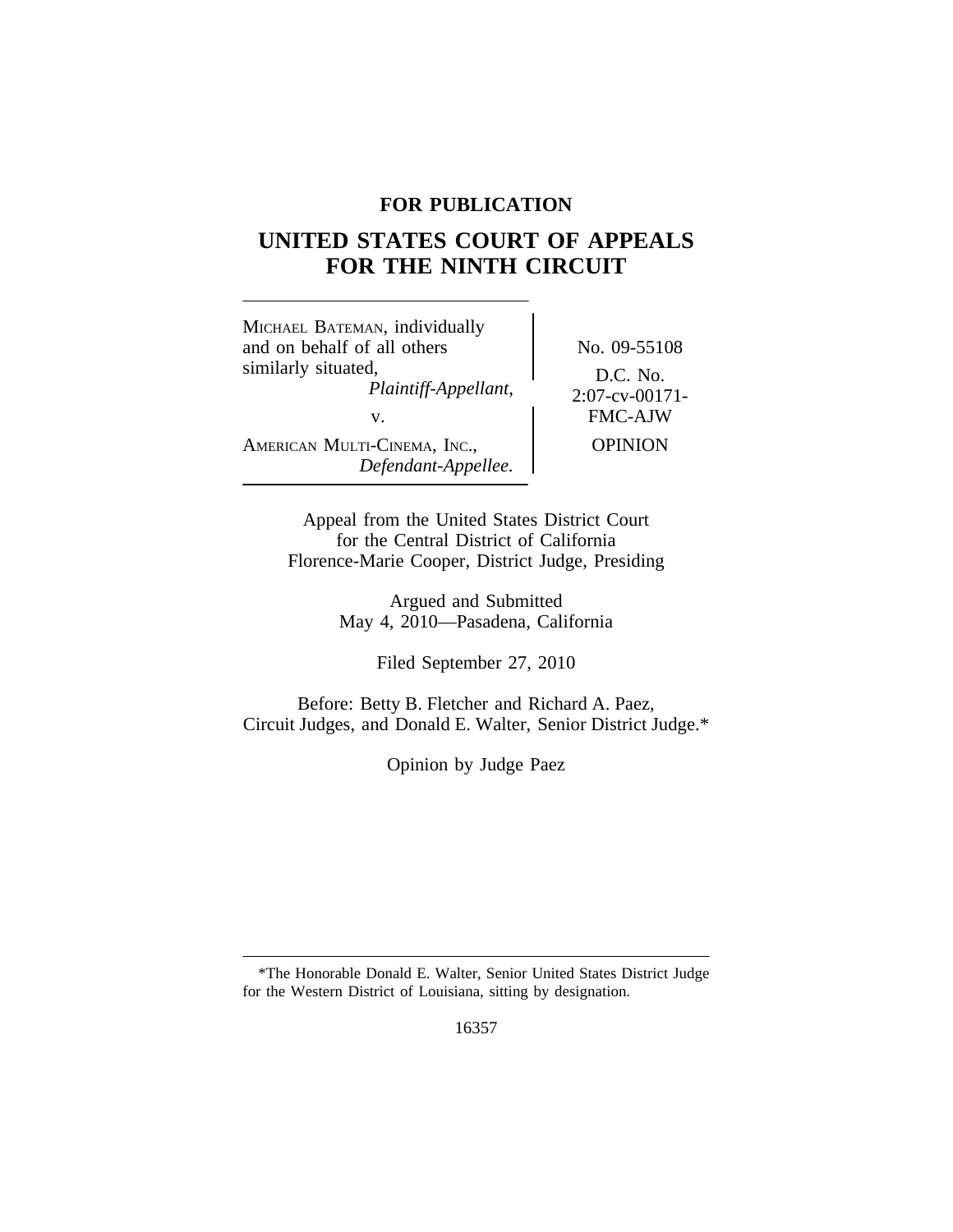# **FOR PUBLICATION**

# **UNITED STATES COURT OF APPEALS FOR THE NINTH CIRCUIT**

<sup>M</sup>ICHAEL BATEMAN, individually and on behalf of all others No. 09-55108 similarly situated,<br> $Plaintiff-Appellant,$  D.C. No.<br>2:07-cv-00171-*Plaintiff-Appellant,*<br>v. AMERICAN MULTI-CINEMA, INC., OPINION *Defendant-Appellee.*

FMC-AJW

Appeal from the United States District Court for the Central District of California Florence-Marie Cooper, District Judge, Presiding

> Argued and Submitted May 4, 2010—Pasadena, California

> > Filed September 27, 2010

Before: Betty B. Fletcher and Richard A. Paez, Circuit Judges, and Donald E. Walter, Senior District Judge.\*

Opinion by Judge Paez

<sup>\*</sup>The Honorable Donald E. Walter, Senior United States District Judge for the Western District of Louisiana, sitting by designation.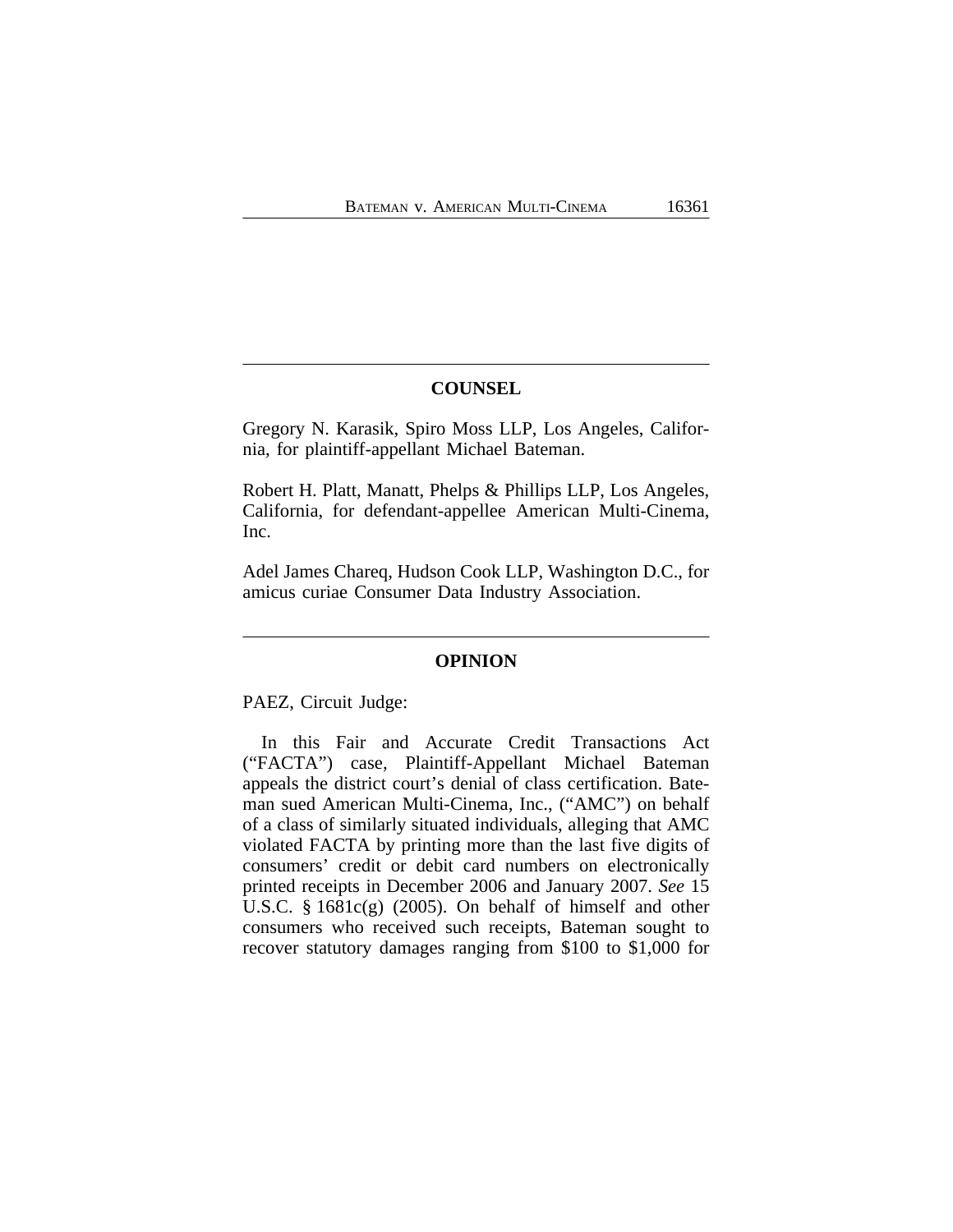## **COUNSEL**

Gregory N. Karasik, Spiro Moss LLP, Los Angeles, California, for plaintiff-appellant Michael Bateman.

Robert H. Platt, Manatt, Phelps & Phillips LLP, Los Angeles, California, for defendant-appellee American Multi-Cinema, Inc.

Adel James Chareq, Hudson Cook LLP, Washington D.C., for amicus curiae Consumer Data Industry Association.

## **OPINION**

PAEZ, Circuit Judge:

In this Fair and Accurate Credit Transactions Act ("FACTA") case, Plaintiff-Appellant Michael Bateman appeals the district court's denial of class certification. Bateman sued American Multi-Cinema, Inc., ("AMC") on behalf of a class of similarly situated individuals, alleging that AMC violated FACTA by printing more than the last five digits of consumers' credit or debit card numbers on electronically printed receipts in December 2006 and January 2007. *See* 15 U.S.C. § 1681c(g) (2005). On behalf of himself and other consumers who received such receipts, Bateman sought to recover statutory damages ranging from \$100 to \$1,000 for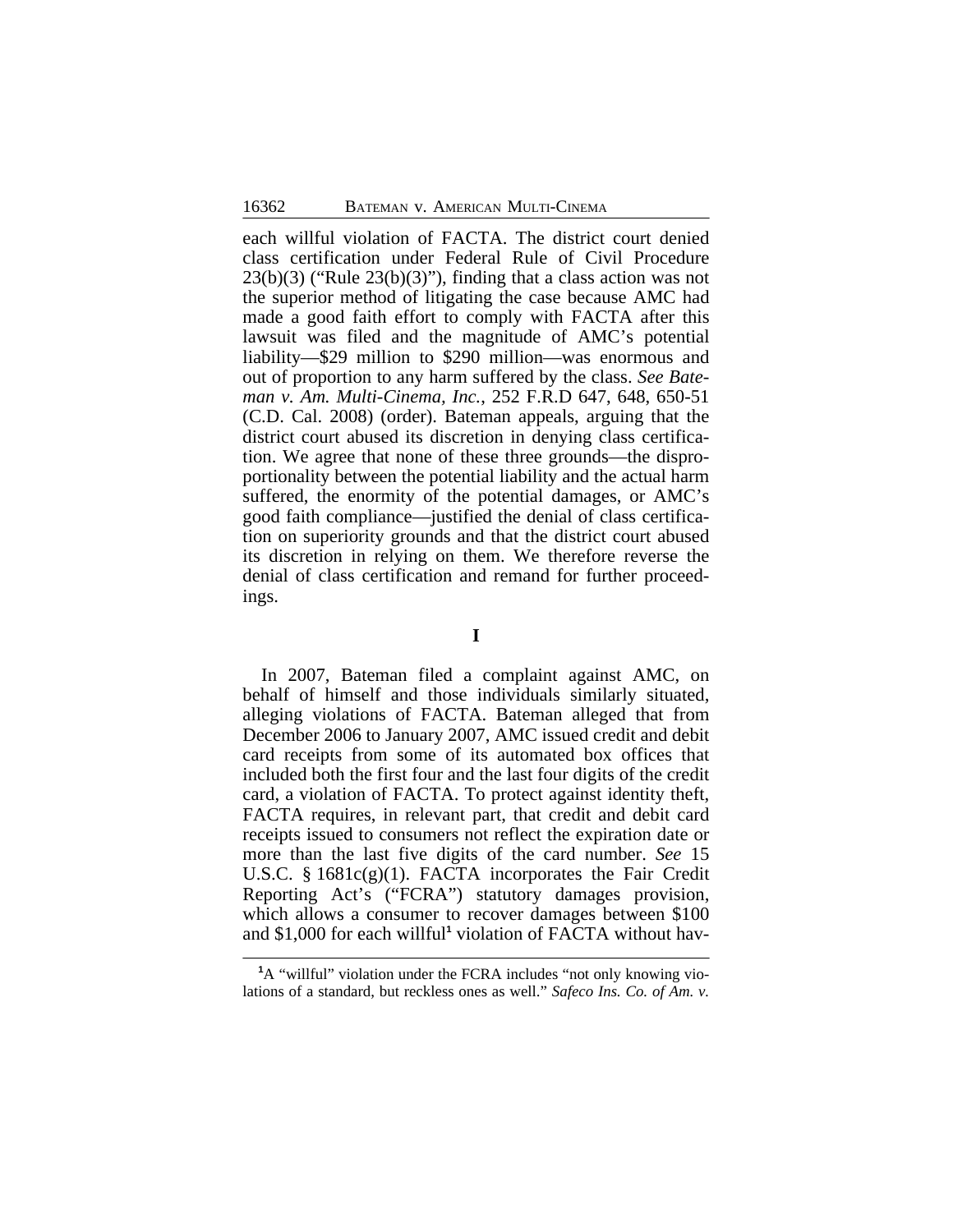each willful violation of FACTA. The district court denied class certification under Federal Rule of Civil Procedure  $23(b)(3)$  ("Rule  $23(b)(3)$ "), finding that a class action was not the superior method of litigating the case because AMC had made a good faith effort to comply with FACTA after this lawsuit was filed and the magnitude of AMC's potential liability—\$29 million to \$290 million—was enormous and out of proportion to any harm suffered by the class. *See Bateman v. Am. Multi-Cinema, Inc.*, 252 F.R.D 647, 648, 650-51 (C.D. Cal. 2008) (order). Bateman appeals, arguing that the district court abused its discretion in denying class certification. We agree that none of these three grounds—the disproportionality between the potential liability and the actual harm suffered, the enormity of the potential damages, or AMC's good faith compliance—justified the denial of class certification on superiority grounds and that the district court abused its discretion in relying on them. We therefore reverse the denial of class certification and remand for further proceedings.

## **I**

In 2007, Bateman filed a complaint against AMC, on behalf of himself and those individuals similarly situated, alleging violations of FACTA. Bateman alleged that from December 2006 to January 2007, AMC issued credit and debit card receipts from some of its automated box offices that included both the first four and the last four digits of the credit card, a violation of FACTA. To protect against identity theft, FACTA requires, in relevant part, that credit and debit card receipts issued to consumers not reflect the expiration date or more than the last five digits of the card number. *See* 15 U.S.C. § 1681c(g)(1). FACTA incorporates the Fair Credit Reporting Act's ("FCRA") statutory damages provision, which allows a consumer to recover damages between \$100 and \$1,000 for each willful<sup>1</sup> violation of FACTA without hav-

**<sup>1</sup>**A "willful" violation under the FCRA includes "not only knowing violations of a standard, but reckless ones as well." *Safeco Ins. Co. of Am. v.*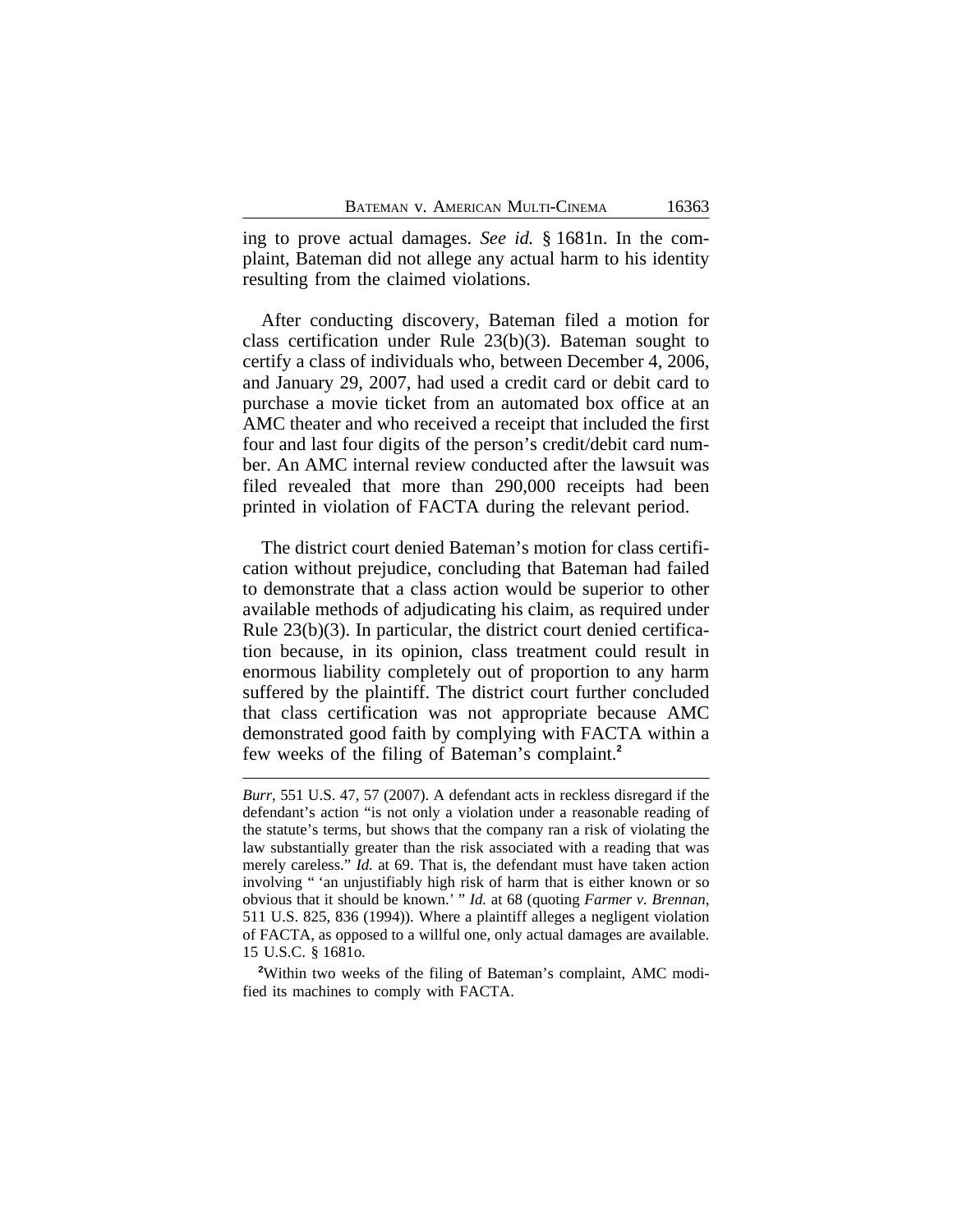ing to prove actual damages. *See id.* § 1681n. In the complaint, Bateman did not allege any actual harm to his identity resulting from the claimed violations.

After conducting discovery, Bateman filed a motion for class certification under Rule 23(b)(3). Bateman sought to certify a class of individuals who, between December 4, 2006, and January 29, 2007, had used a credit card or debit card to purchase a movie ticket from an automated box office at an AMC theater and who received a receipt that included the first four and last four digits of the person's credit/debit card number. An AMC internal review conducted after the lawsuit was filed revealed that more than 290,000 receipts had been printed in violation of FACTA during the relevant period.

The district court denied Bateman's motion for class certification without prejudice, concluding that Bateman had failed to demonstrate that a class action would be superior to other available methods of adjudicating his claim, as required under Rule 23(b)(3). In particular, the district court denied certification because, in its opinion, class treatment could result in enormous liability completely out of proportion to any harm suffered by the plaintiff. The district court further concluded that class certification was not appropriate because AMC demonstrated good faith by complying with FACTA within a few weeks of the filing of Bateman's complaint.**<sup>2</sup>**

**<sup>2</sup>**Within two weeks of the filing of Bateman's complaint, AMC modified its machines to comply with FACTA.

*Burr*, 551 U.S. 47, 57 (2007). A defendant acts in reckless disregard if the defendant's action "is not only a violation under a reasonable reading of the statute's terms, but shows that the company ran a risk of violating the law substantially greater than the risk associated with a reading that was merely careless." *Id.* at 69. That is, the defendant must have taken action involving " 'an unjustifiably high risk of harm that is either known or so obvious that it should be known.' " *Id.* at 68 (quoting *Farmer v. Brennan*, 511 U.S. 825, 836 (1994)). Where a plaintiff alleges a negligent violation of FACTA, as opposed to a willful one, only actual damages are available. 15 U.S.C. § 1681o.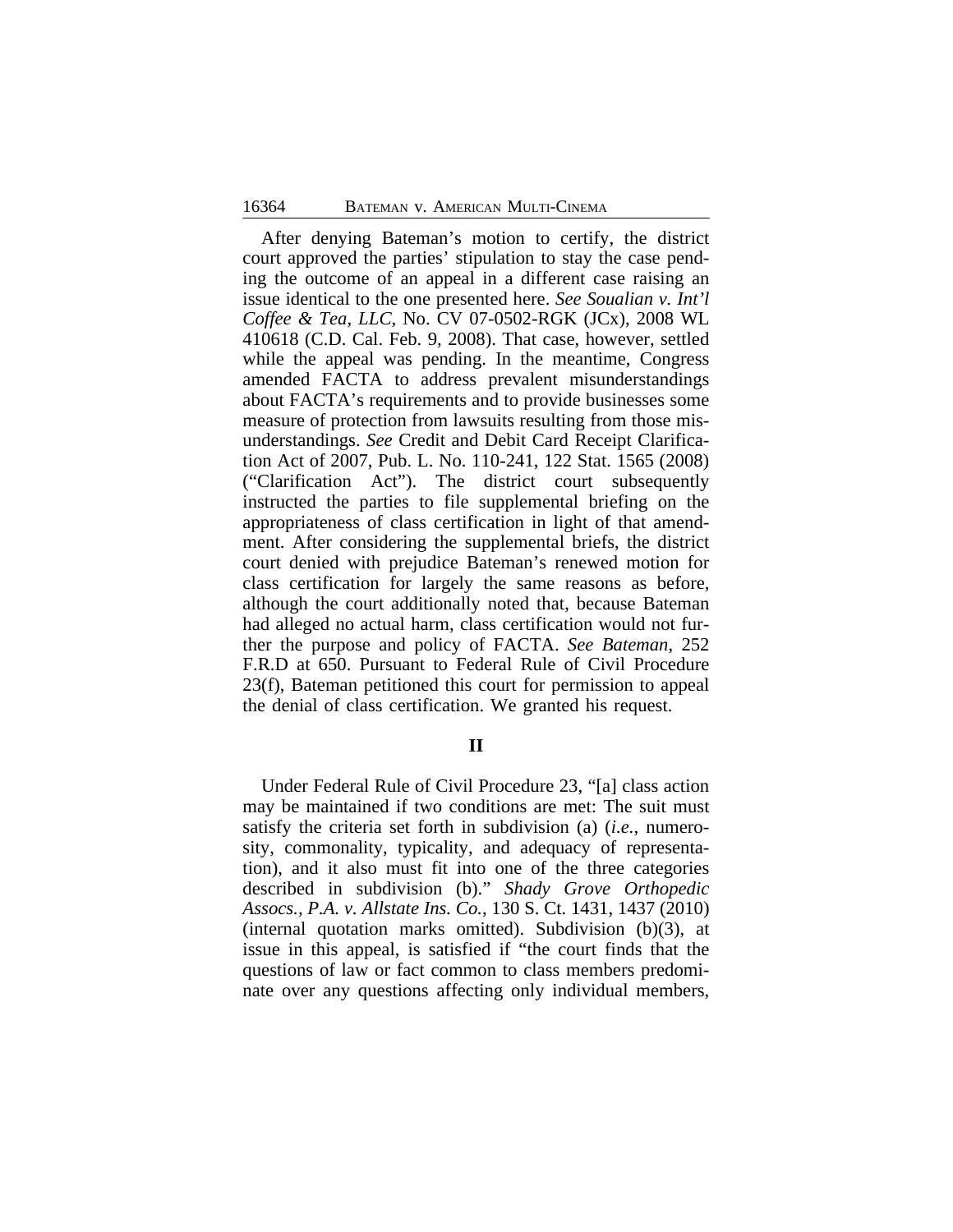After denying Bateman's motion to certify, the district court approved the parties' stipulation to stay the case pending the outcome of an appeal in a different case raising an issue identical to the one presented here. *See Soualian v. Int'l Coffee & Tea, LLC*, No. CV 07-0502-RGK (JCx), 2008 WL 410618 (C.D. Cal. Feb. 9, 2008). That case, however, settled while the appeal was pending. In the meantime, Congress amended FACTA to address prevalent misunderstandings about FACTA's requirements and to provide businesses some measure of protection from lawsuits resulting from those misunderstandings. *See* Credit and Debit Card Receipt Clarification Act of 2007, Pub. L. No. 110-241, 122 Stat. 1565 (2008) ("Clarification Act"). The district court subsequently instructed the parties to file supplemental briefing on the appropriateness of class certification in light of that amendment. After considering the supplemental briefs, the district court denied with prejudice Bateman's renewed motion for class certification for largely the same reasons as before, although the court additionally noted that, because Bateman had alleged no actual harm, class certification would not further the purpose and policy of FACTA. *See Bateman*, 252 F.R.D at 650. Pursuant to Federal Rule of Civil Procedure 23(f), Bateman petitioned this court for permission to appeal the denial of class certification. We granted his request.

**II**

Under Federal Rule of Civil Procedure 23, "[a] class action may be maintained if two conditions are met: The suit must satisfy the criteria set forth in subdivision (a) (*i.e.*, numerosity, commonality, typicality, and adequacy of representation), and it also must fit into one of the three categories described in subdivision (b)." *Shady Grove Orthopedic Assocs., P.A. v. Allstate Ins. Co.*, 130 S. Ct. 1431, 1437 (2010) (internal quotation marks omitted). Subdivision (b)(3), at issue in this appeal, is satisfied if "the court finds that the questions of law or fact common to class members predominate over any questions affecting only individual members,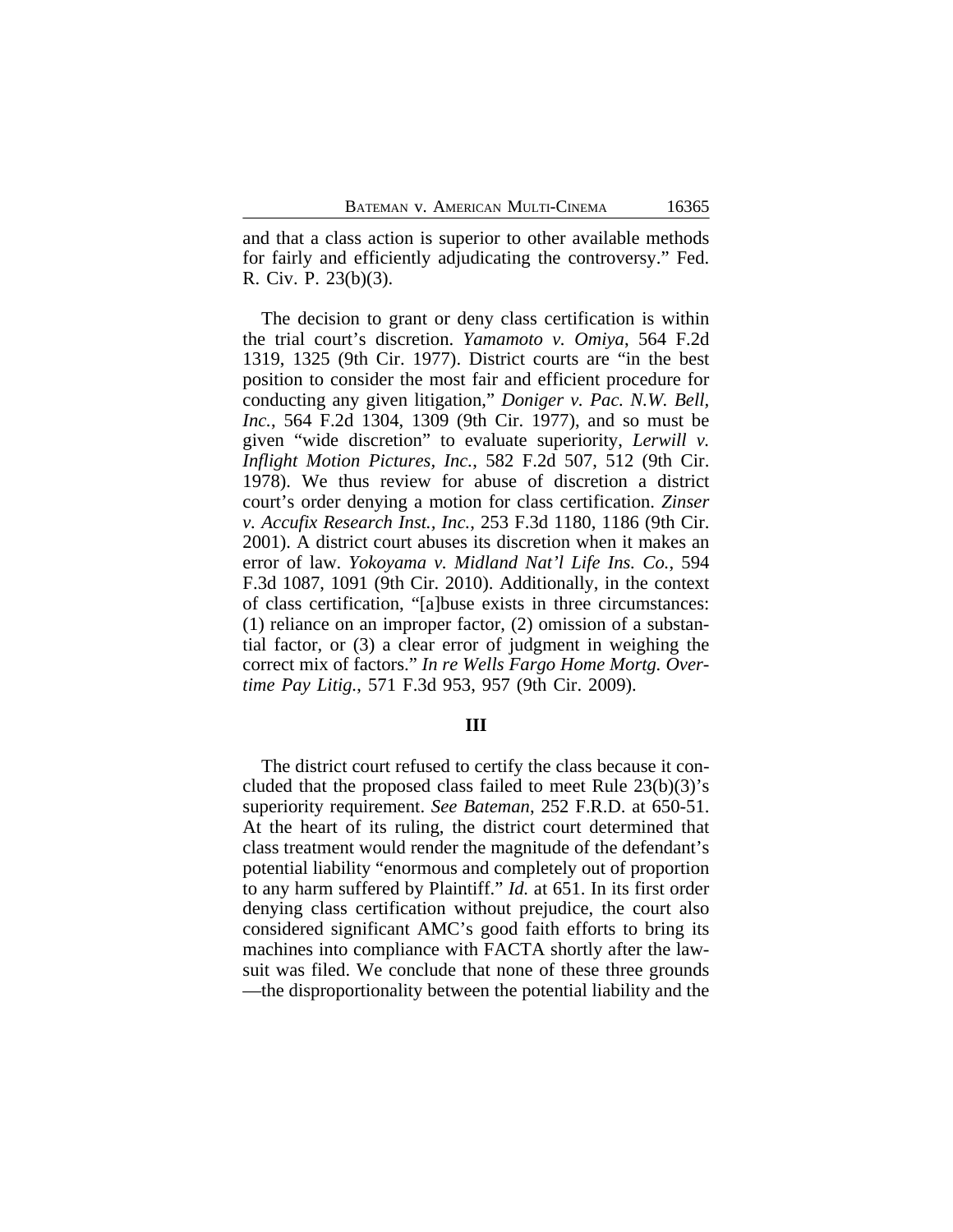and that a class action is superior to other available methods for fairly and efficiently adjudicating the controversy." Fed. R. Civ. P. 23(b)(3).

The decision to grant or deny class certification is within the trial court's discretion. *Yamamoto v. Omiya*, 564 F.2d 1319, 1325 (9th Cir. 1977). District courts are "in the best position to consider the most fair and efficient procedure for conducting any given litigation," *Doniger v. Pac. N.W. Bell, Inc.*, 564 F.2d 1304, 1309 (9th Cir. 1977), and so must be given "wide discretion" to evaluate superiority, *Lerwill v. Inflight Motion Pictures, Inc.*, 582 F.2d 507, 512 (9th Cir. 1978). We thus review for abuse of discretion a district court's order denying a motion for class certification. *Zinser v. Accufix Research Inst., Inc.*, 253 F.3d 1180, 1186 (9th Cir. 2001). A district court abuses its discretion when it makes an error of law. *Yokoyama v. Midland Nat'l Life Ins. Co.*, 594 F.3d 1087, 1091 (9th Cir. 2010). Additionally, in the context of class certification, "[a]buse exists in three circumstances: (1) reliance on an improper factor, (2) omission of a substantial factor, or (3) a clear error of judgment in weighing the correct mix of factors." *In re Wells Fargo Home Mortg. Overtime Pay Litig.*, 571 F.3d 953, 957 (9th Cir. 2009).

#### **III**

The district court refused to certify the class because it concluded that the proposed class failed to meet Rule 23(b)(3)'s superiority requirement. *See Bateman*, 252 F.R.D. at 650-51. At the heart of its ruling, the district court determined that class treatment would render the magnitude of the defendant's potential liability "enormous and completely out of proportion to any harm suffered by Plaintiff." *Id.* at 651. In its first order denying class certification without prejudice, the court also considered significant AMC's good faith efforts to bring its machines into compliance with FACTA shortly after the lawsuit was filed. We conclude that none of these three grounds —the disproportionality between the potential liability and the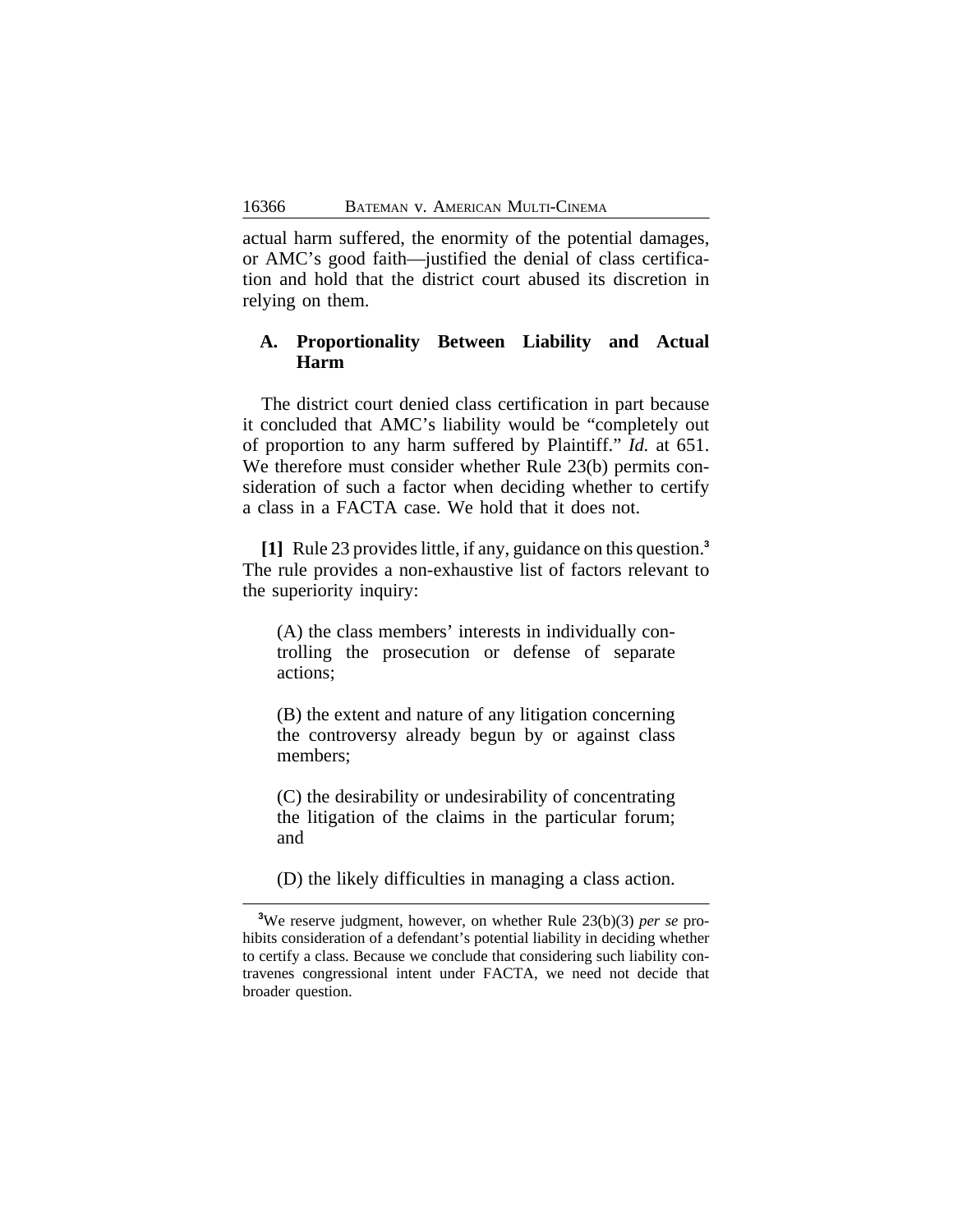actual harm suffered, the enormity of the potential damages, or AMC's good faith—justified the denial of class certification and hold that the district court abused its discretion in relying on them.

# **A. Proportionality Between Liability and Actual Harm**

The district court denied class certification in part because it concluded that AMC's liability would be "completely out of proportion to any harm suffered by Plaintiff." *Id.* at 651. We therefore must consider whether Rule 23(b) permits consideration of such a factor when deciding whether to certify a class in a FACTA case. We hold that it does not.

**[1]** Rule 23 provides little, if any, guidance on this question.**<sup>3</sup>** The rule provides a non-exhaustive list of factors relevant to the superiority inquiry:

(A) the class members' interests in individually controlling the prosecution or defense of separate actions;

(B) the extent and nature of any litigation concerning the controversy already begun by or against class members;

(C) the desirability or undesirability of concentrating the litigation of the claims in the particular forum; and

(D) the likely difficulties in managing a class action.

**<sup>3</sup>**We reserve judgment, however, on whether Rule 23(b)(3) *per se* prohibits consideration of a defendant's potential liability in deciding whether to certify a class. Because we conclude that considering such liability contravenes congressional intent under FACTA, we need not decide that broader question.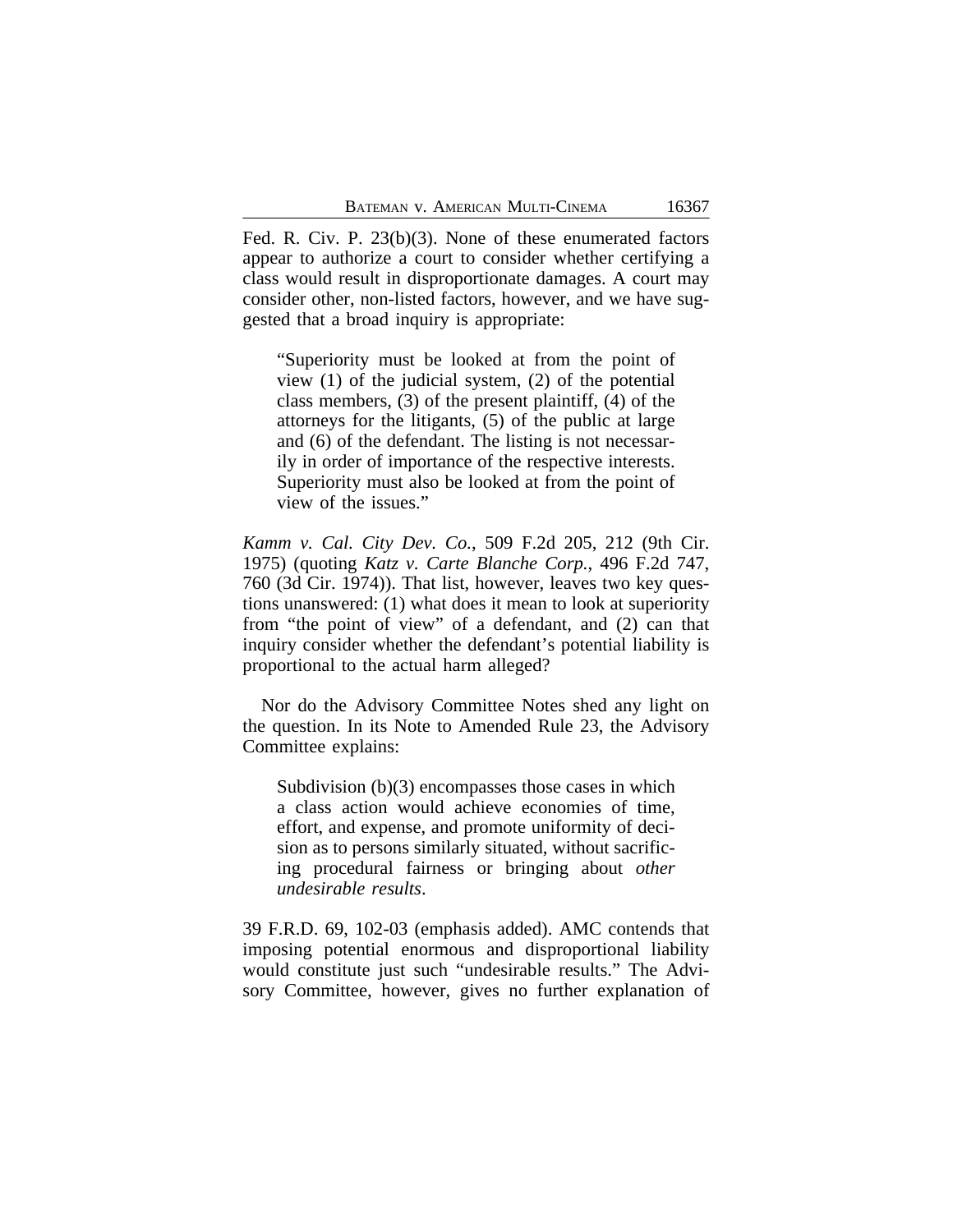Fed. R. Civ. P. 23(b)(3). None of these enumerated factors appear to authorize a court to consider whether certifying a class would result in disproportionate damages. A court may consider other, non-listed factors, however, and we have suggested that a broad inquiry is appropriate:

"Superiority must be looked at from the point of view (1) of the judicial system, (2) of the potential class members, (3) of the present plaintiff, (4) of the attorneys for the litigants, (5) of the public at large and (6) of the defendant. The listing is not necessarily in order of importance of the respective interests. Superiority must also be looked at from the point of view of the issues."

*Kamm v. Cal. City Dev. Co.*, 509 F.2d 205, 212 (9th Cir. 1975) (quoting *Katz v. Carte Blanche Corp.*, 496 F.2d 747, 760 (3d Cir. 1974)). That list, however, leaves two key questions unanswered: (1) what does it mean to look at superiority from "the point of view" of a defendant, and (2) can that inquiry consider whether the defendant's potential liability is proportional to the actual harm alleged?

Nor do the Advisory Committee Notes shed any light on the question. In its Note to Amended Rule 23, the Advisory Committee explains:

Subdivision (b)(3) encompasses those cases in which a class action would achieve economies of time, effort, and expense, and promote uniformity of decision as to persons similarly situated, without sacrificing procedural fairness or bringing about *other undesirable results*.

39 F.R.D. 69, 102-03 (emphasis added). AMC contends that imposing potential enormous and disproportional liability would constitute just such "undesirable results." The Advisory Committee, however, gives no further explanation of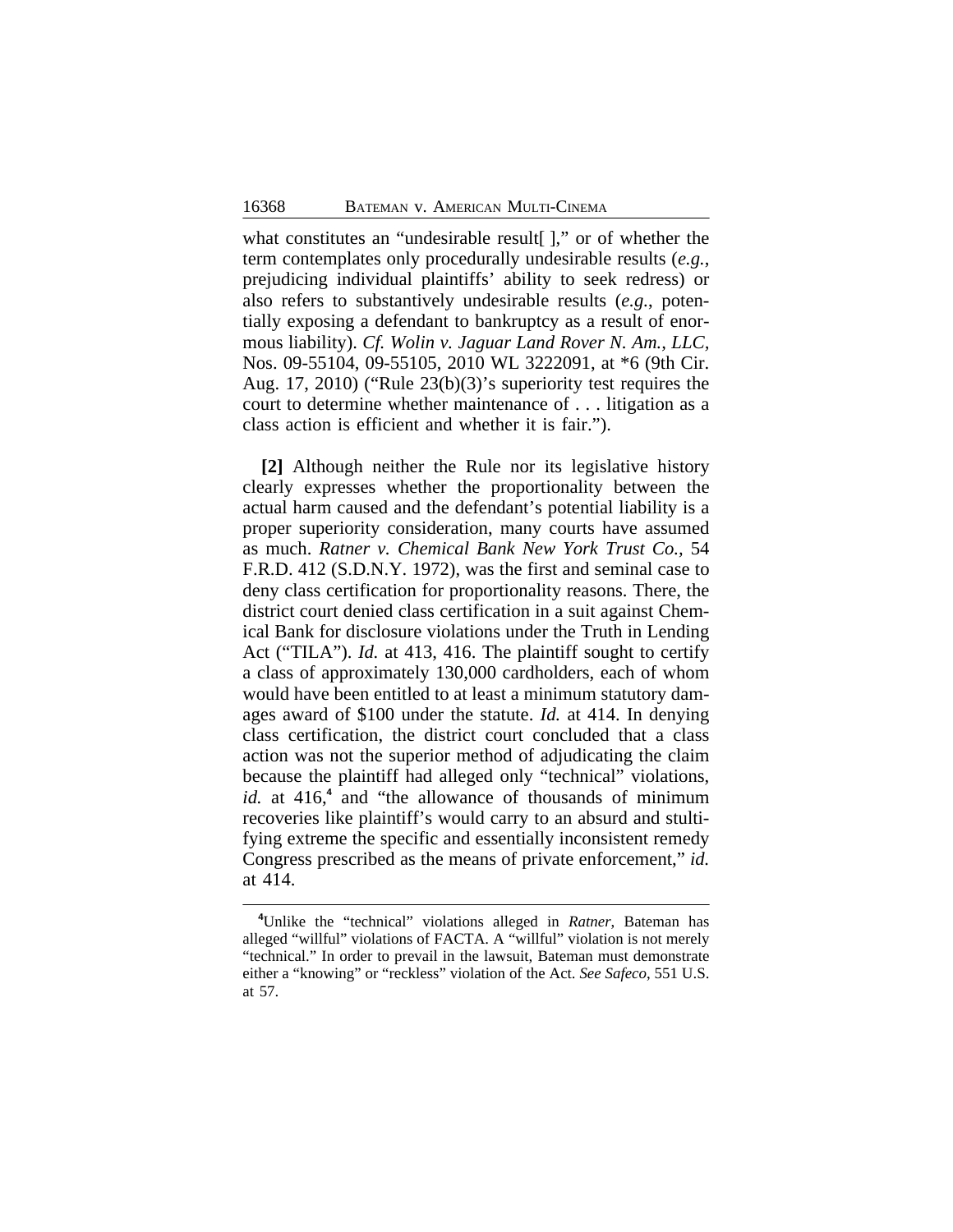what constitutes an "undesirable result[ ]," or of whether the term contemplates only procedurally undesirable results (*e.g.*, prejudicing individual plaintiffs' ability to seek redress) or also refers to substantively undesirable results (*e.g.*, potentially exposing a defendant to bankruptcy as a result of enormous liability). *Cf. Wolin v. Jaguar Land Rover N. Am., LLC,* Nos. 09-55104, 09-55105, 2010 WL 3222091, at \*6 (9th Cir. Aug. 17, 2010) ("Rule 23(b)(3)'s superiority test requires the court to determine whether maintenance of . . . litigation as a class action is efficient and whether it is fair.").

**[2]** Although neither the Rule nor its legislative history clearly expresses whether the proportionality between the actual harm caused and the defendant's potential liability is a proper superiority consideration, many courts have assumed as much. *Ratner v. Chemical Bank New York Trust Co.,* 54 F.R.D. 412 (S.D.N.Y. 1972), was the first and seminal case to deny class certification for proportionality reasons. There, the district court denied class certification in a suit against Chemical Bank for disclosure violations under the Truth in Lending Act ("TILA"). *Id.* at 413, 416. The plaintiff sought to certify a class of approximately 130,000 cardholders, each of whom would have been entitled to at least a minimum statutory damages award of \$100 under the statute. *Id.* at 414. In denying class certification, the district court concluded that a class action was not the superior method of adjudicating the claim because the plaintiff had alleged only "technical" violations, *id.* at 416,<sup>4</sup> and "the allowance of thousands of minimum recoveries like plaintiff's would carry to an absurd and stultifying extreme the specific and essentially inconsistent remedy Congress prescribed as the means of private enforcement," *id.* at 414.

**<sup>4</sup>**Unlike the "technical" violations alleged in *Ratner*, Bateman has alleged "willful" violations of FACTA. A "willful" violation is not merely "technical." In order to prevail in the lawsuit, Bateman must demonstrate either a "knowing" or "reckless" violation of the Act. *See Safeco*, 551 U.S. at 57.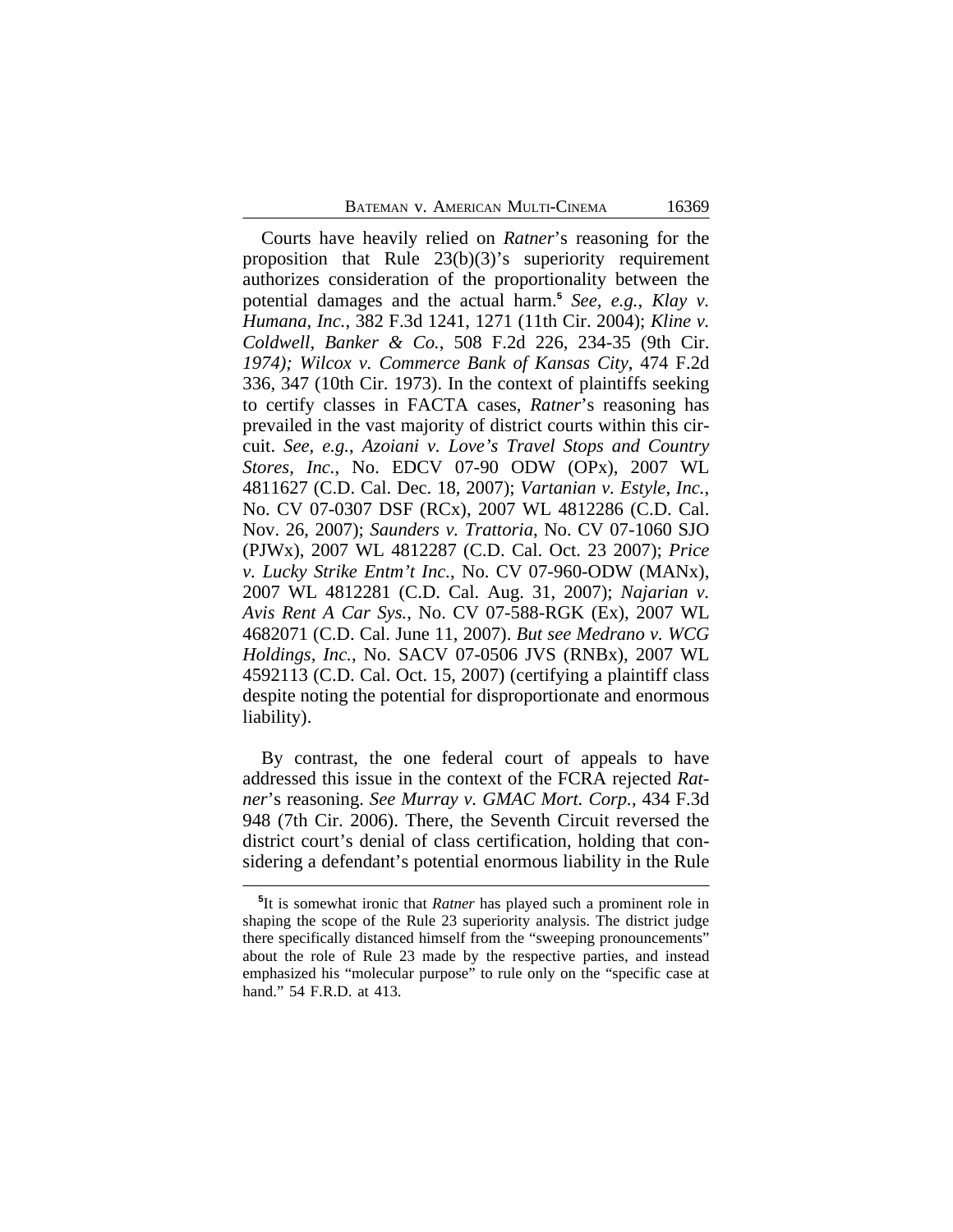Courts have heavily relied on *Ratner*'s reasoning for the proposition that Rule 23(b)(3)'s superiority requirement authorizes consideration of the proportionality between the potential damages and the actual harm.**<sup>5</sup>** *See, e.g.*, *Klay v. Humana*, *Inc.*, 382 F.3d 1241, 1271 (11th Cir. 2004); *Kline v. Coldwell, Banker & Co.*, 508 F.2d 226, 234-35 (9th Cir. *1974); Wilcox v. Commerce Bank of Kansas City*, 474 F.2d 336, 347 (10th Cir. 1973). In the context of plaintiffs seeking to certify classes in FACTA cases, *Ratner*'s reasoning has prevailed in the vast majority of district courts within this circuit. *See, e.g.*, *Azoiani v. Love's Travel Stops and Country Stores, Inc.*, No. EDCV 07-90 ODW (OPx), 2007 WL 4811627 (C.D. Cal. Dec. 18, 2007); *Vartanian v. Estyle, Inc.*, No. CV 07-0307 DSF (RCx), 2007 WL 4812286 (C.D. Cal. Nov. 26, 2007); *Saunders v. Trattoria*, No. CV 07-1060 SJO (PJWx), 2007 WL 4812287 (C.D. Cal. Oct. 23 2007); *Price v. Lucky Strike Entm't Inc.*, No. CV 07-960-ODW (MANx), 2007 WL 4812281 (C.D. Cal. Aug. 31, 2007); *Najarian v. Avis Rent A Car Sys.*, No. CV 07-588-RGK (Ex), 2007 WL 4682071 (C.D. Cal. June 11, 2007). *But see Medrano v. WCG Holdings, Inc.*, No. SACV 07-0506 JVS (RNBx), 2007 WL 4592113 (C.D. Cal. Oct. 15, 2007) (certifying a plaintiff class despite noting the potential for disproportionate and enormous liability).

By contrast, the one federal court of appeals to have addressed this issue in the context of the FCRA rejected *Ratner*'s reasoning. *See Murray v. GMAC Mort. Corp.*, 434 F.3d 948 (7th Cir. 2006). There, the Seventh Circuit reversed the district court's denial of class certification, holding that considering a defendant's potential enormous liability in the Rule

**<sup>5</sup>** It is somewhat ironic that *Ratner* has played such a prominent role in shaping the scope of the Rule 23 superiority analysis. The district judge there specifically distanced himself from the "sweeping pronouncements" about the role of Rule 23 made by the respective parties, and instead emphasized his "molecular purpose" to rule only on the "specific case at hand." 54 F.R.D. at 413.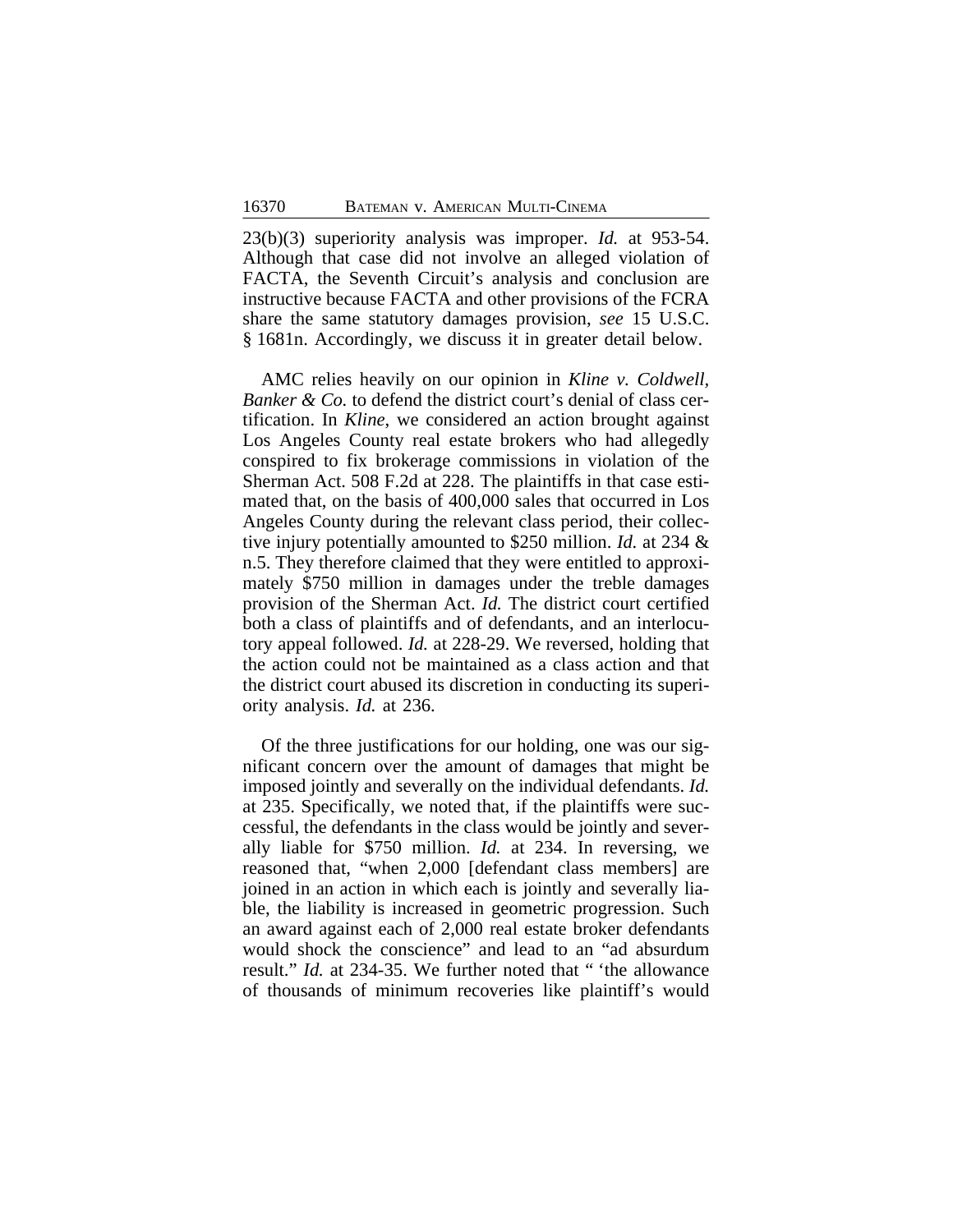23(b)(3) superiority analysis was improper. *Id.* at 953-54. Although that case did not involve an alleged violation of FACTA, the Seventh Circuit's analysis and conclusion are instructive because FACTA and other provisions of the FCRA share the same statutory damages provision, *see* 15 U.S.C. § 1681n. Accordingly, we discuss it in greater detail below.

AMC relies heavily on our opinion in *Kline v. Coldwell, Banker & Co.* to defend the district court's denial of class certification. In *Kline*, we considered an action brought against Los Angeles County real estate brokers who had allegedly conspired to fix brokerage commissions in violation of the Sherman Act. 508 F.2d at 228. The plaintiffs in that case estimated that, on the basis of 400,000 sales that occurred in Los Angeles County during the relevant class period, their collective injury potentially amounted to \$250 million. *Id.* at 234 & n.5. They therefore claimed that they were entitled to approximately \$750 million in damages under the treble damages provision of the Sherman Act. *Id.* The district court certified both a class of plaintiffs and of defendants, and an interlocutory appeal followed. *Id.* at 228-29. We reversed, holding that the action could not be maintained as a class action and that the district court abused its discretion in conducting its superiority analysis. *Id.* at 236.

Of the three justifications for our holding, one was our significant concern over the amount of damages that might be imposed jointly and severally on the individual defendants. *Id.* at 235. Specifically, we noted that, if the plaintiffs were successful, the defendants in the class would be jointly and severally liable for \$750 million. *Id.* at 234. In reversing, we reasoned that, "when 2,000 [defendant class members] are joined in an action in which each is jointly and severally liable, the liability is increased in geometric progression. Such an award against each of 2,000 real estate broker defendants would shock the conscience" and lead to an "ad absurdum result." *Id.* at 234-35. We further noted that " 'the allowance of thousands of minimum recoveries like plaintiff's would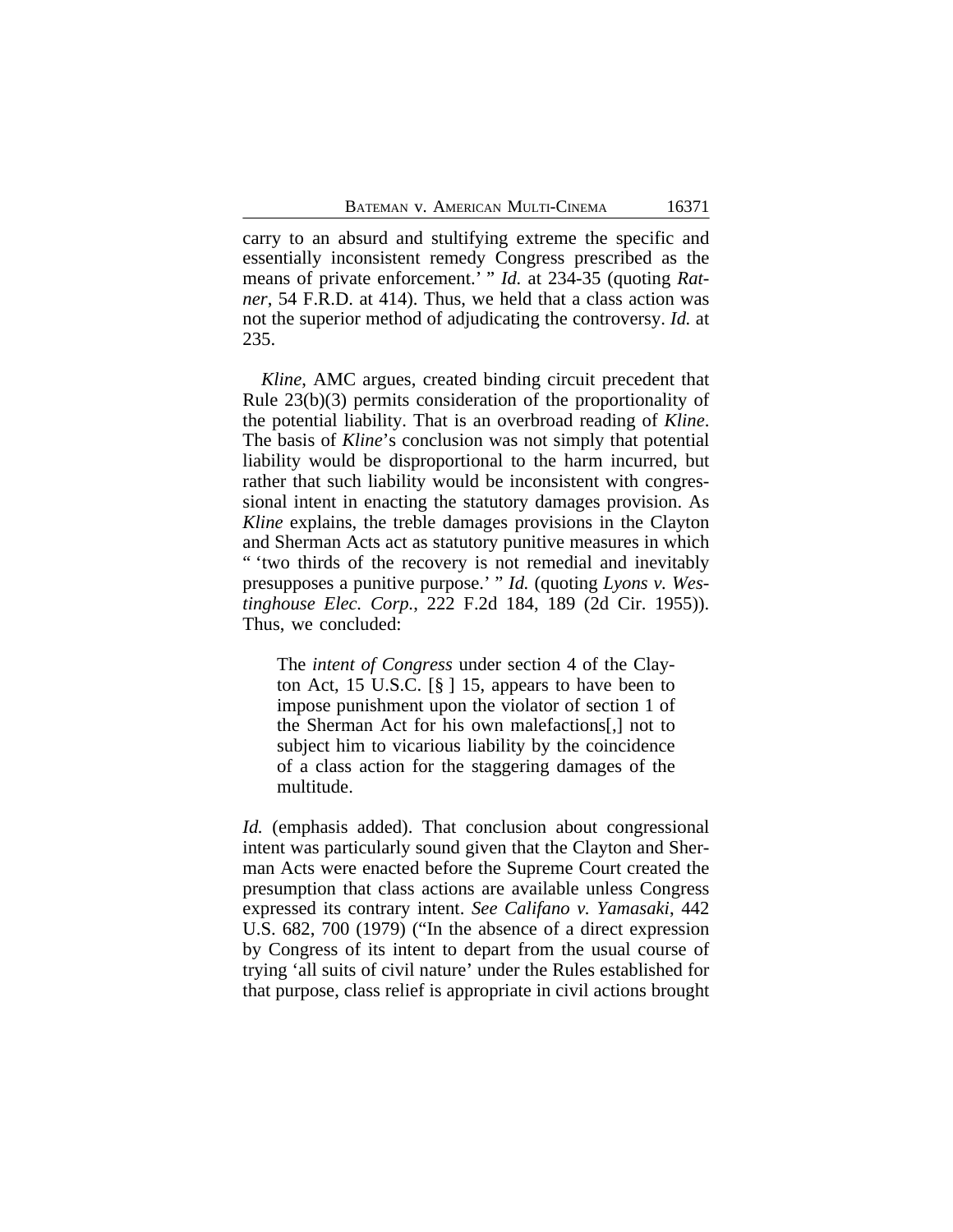carry to an absurd and stultifying extreme the specific and essentially inconsistent remedy Congress prescribed as the means of private enforcement.' " *Id.* at 234-35 (quoting *Ratner*, 54 F.R.D. at 414). Thus, we held that a class action was not the superior method of adjudicating the controversy. *Id.* at 235.

*Kline*, AMC argues, created binding circuit precedent that Rule 23(b)(3) permits consideration of the proportionality of the potential liability. That is an overbroad reading of *Kline*. The basis of *Kline*'s conclusion was not simply that potential liability would be disproportional to the harm incurred, but rather that such liability would be inconsistent with congressional intent in enacting the statutory damages provision. As *Kline* explains, the treble damages provisions in the Clayton and Sherman Acts act as statutory punitive measures in which " 'two thirds of the recovery is not remedial and inevitably presupposes a punitive purpose.' " *Id.* (quoting *Lyons v. Westinghouse Elec. Corp.*, 222 F.2d 184, 189 (2d Cir. 1955)). Thus, we concluded:

The *intent of Congress* under section 4 of the Clayton Act, 15 U.S.C.  $\lceil \S \rceil$  15, appears to have been to impose punishment upon the violator of section 1 of the Sherman Act for his own malefactions[,] not to subject him to vicarious liability by the coincidence of a class action for the staggering damages of the multitude.

*Id.* (emphasis added). That conclusion about congressional intent was particularly sound given that the Clayton and Sherman Acts were enacted before the Supreme Court created the presumption that class actions are available unless Congress expressed its contrary intent. *See Califano v. Yamasaki*, 442 U.S. 682, 700 (1979) ("In the absence of a direct expression by Congress of its intent to depart from the usual course of trying 'all suits of civil nature' under the Rules established for that purpose, class relief is appropriate in civil actions brought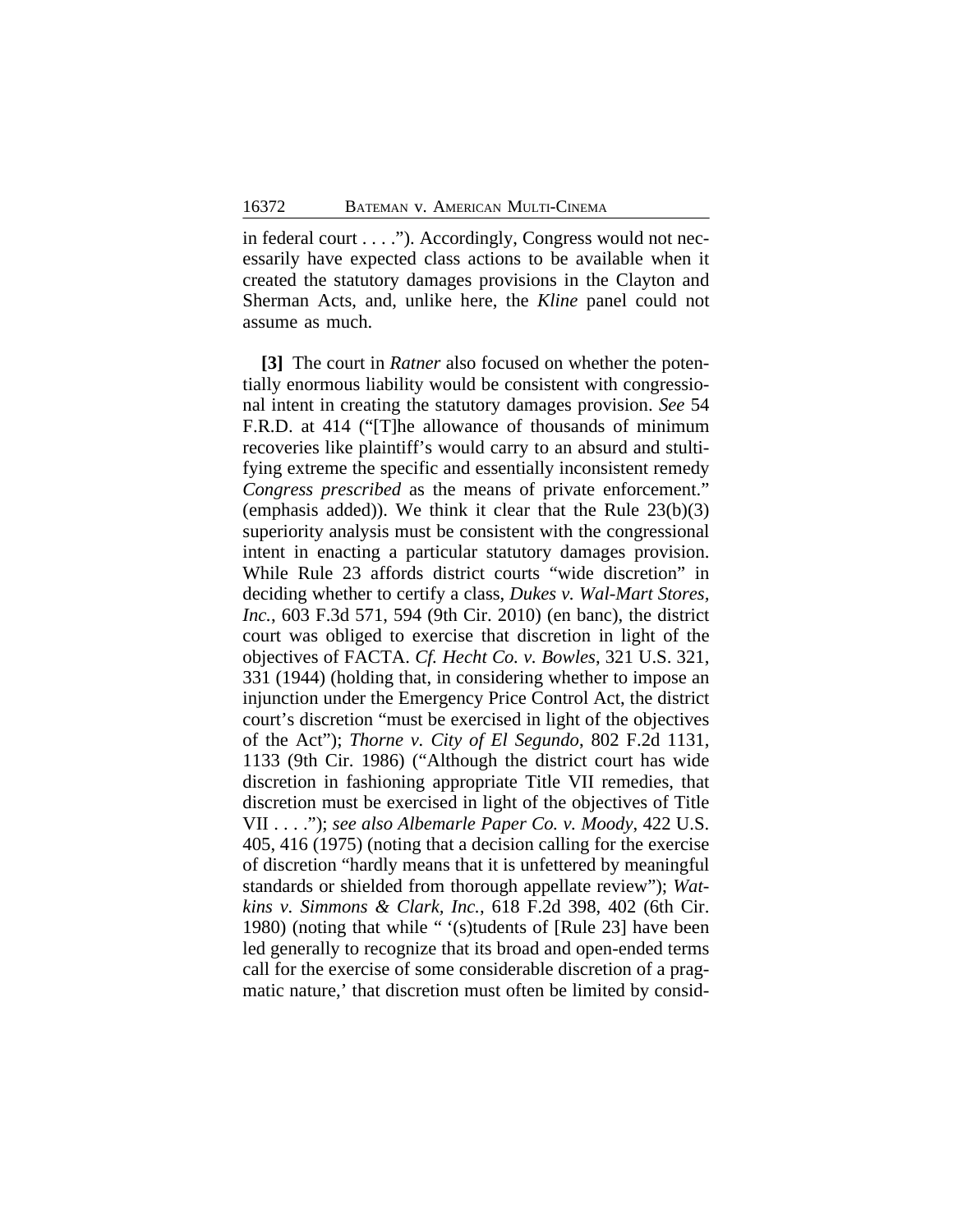in federal court . . . ."). Accordingly, Congress would not necessarily have expected class actions to be available when it created the statutory damages provisions in the Clayton and Sherman Acts, and, unlike here, the *Kline* panel could not assume as much.

**[3]** The court in *Ratner* also focused on whether the potentially enormous liability would be consistent with congressional intent in creating the statutory damages provision. *See* 54 F.R.D. at 414 ("[T]he allowance of thousands of minimum recoveries like plaintiff's would carry to an absurd and stultifying extreme the specific and essentially inconsistent remedy *Congress prescribed* as the means of private enforcement." (emphasis added)). We think it clear that the Rule 23(b)(3) superiority analysis must be consistent with the congressional intent in enacting a particular statutory damages provision. While Rule 23 affords district courts "wide discretion" in deciding whether to certify a class, *Dukes v. Wal-Mart Stores, Inc.*, 603 F.3d 571, 594 (9th Cir. 2010) (en banc), the district court was obliged to exercise that discretion in light of the objectives of FACTA. *Cf. Hecht Co. v. Bowles*, 321 U.S. 321, 331 (1944) (holding that, in considering whether to impose an injunction under the Emergency Price Control Act, the district court's discretion "must be exercised in light of the objectives of the Act"); *Thorne v. City of El Segundo*, 802 F.2d 1131, 1133 (9th Cir. 1986) ("Although the district court has wide discretion in fashioning appropriate Title VII remedies, that discretion must be exercised in light of the objectives of Title VII . . . ."); *see also Albemarle Paper Co. v. Moody*, 422 U.S. 405, 416 (1975) (noting that a decision calling for the exercise of discretion "hardly means that it is unfettered by meaningful standards or shielded from thorough appellate review"); *Watkins v. Simmons & Clark, Inc.*, 618 F.2d 398, 402 (6th Cir. 1980) (noting that while " '(s)tudents of [Rule 23] have been led generally to recognize that its broad and open-ended terms call for the exercise of some considerable discretion of a pragmatic nature,' that discretion must often be limited by consid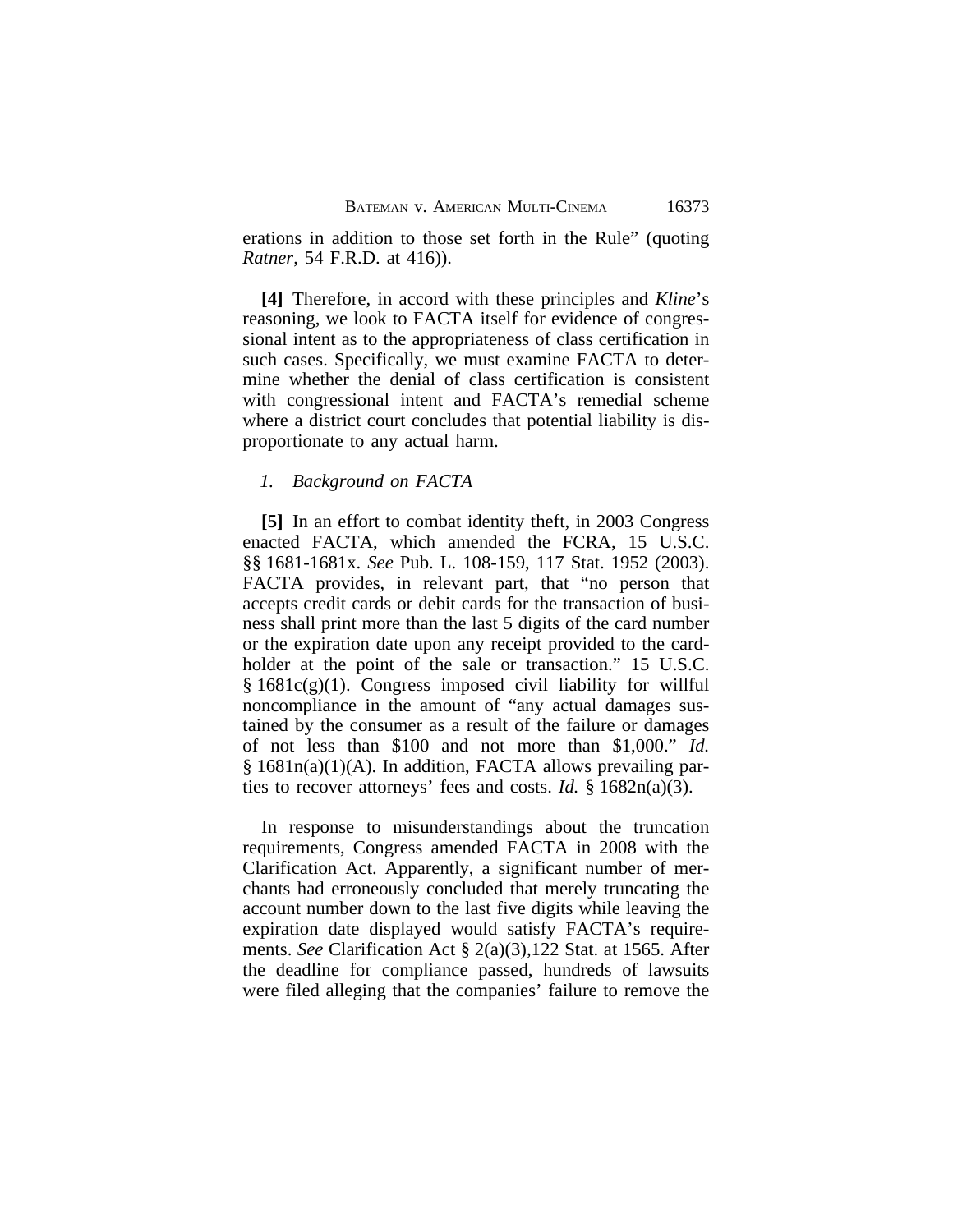erations in addition to those set forth in the Rule" (quoting *Ratner*, 54 F.R.D. at 416)).

**[4]** Therefore, in accord with these principles and *Kline*'s reasoning, we look to FACTA itself for evidence of congressional intent as to the appropriateness of class certification in such cases. Specifically, we must examine FACTA to determine whether the denial of class certification is consistent with congressional intent and FACTA's remedial scheme where a district court concludes that potential liability is disproportionate to any actual harm.

## *1. Background on FACTA*

**[5]** In an effort to combat identity theft, in 2003 Congress enacted FACTA, which amended the FCRA, 15 U.S.C. §§ 1681-1681x. *See* Pub. L. 108-159, 117 Stat. 1952 (2003). FACTA provides, in relevant part, that "no person that accepts credit cards or debit cards for the transaction of business shall print more than the last 5 digits of the card number or the expiration date upon any receipt provided to the cardholder at the point of the sale or transaction." 15 U.S.C.  $§ 1681c(g)(1)$ . Congress imposed civil liability for willful noncompliance in the amount of "any actual damages sustained by the consumer as a result of the failure or damages of not less than \$100 and not more than \$1,000." *Id.* § 1681n(a)(1)(A). In addition, FACTA allows prevailing parties to recover attorneys' fees and costs. *Id.* § 1682n(a)(3).

In response to misunderstandings about the truncation requirements, Congress amended FACTA in 2008 with the Clarification Act. Apparently, a significant number of merchants had erroneously concluded that merely truncating the account number down to the last five digits while leaving the expiration date displayed would satisfy FACTA's requirements. *See* Clarification Act § 2(a)(3),122 Stat. at 1565. After the deadline for compliance passed, hundreds of lawsuits were filed alleging that the companies' failure to remove the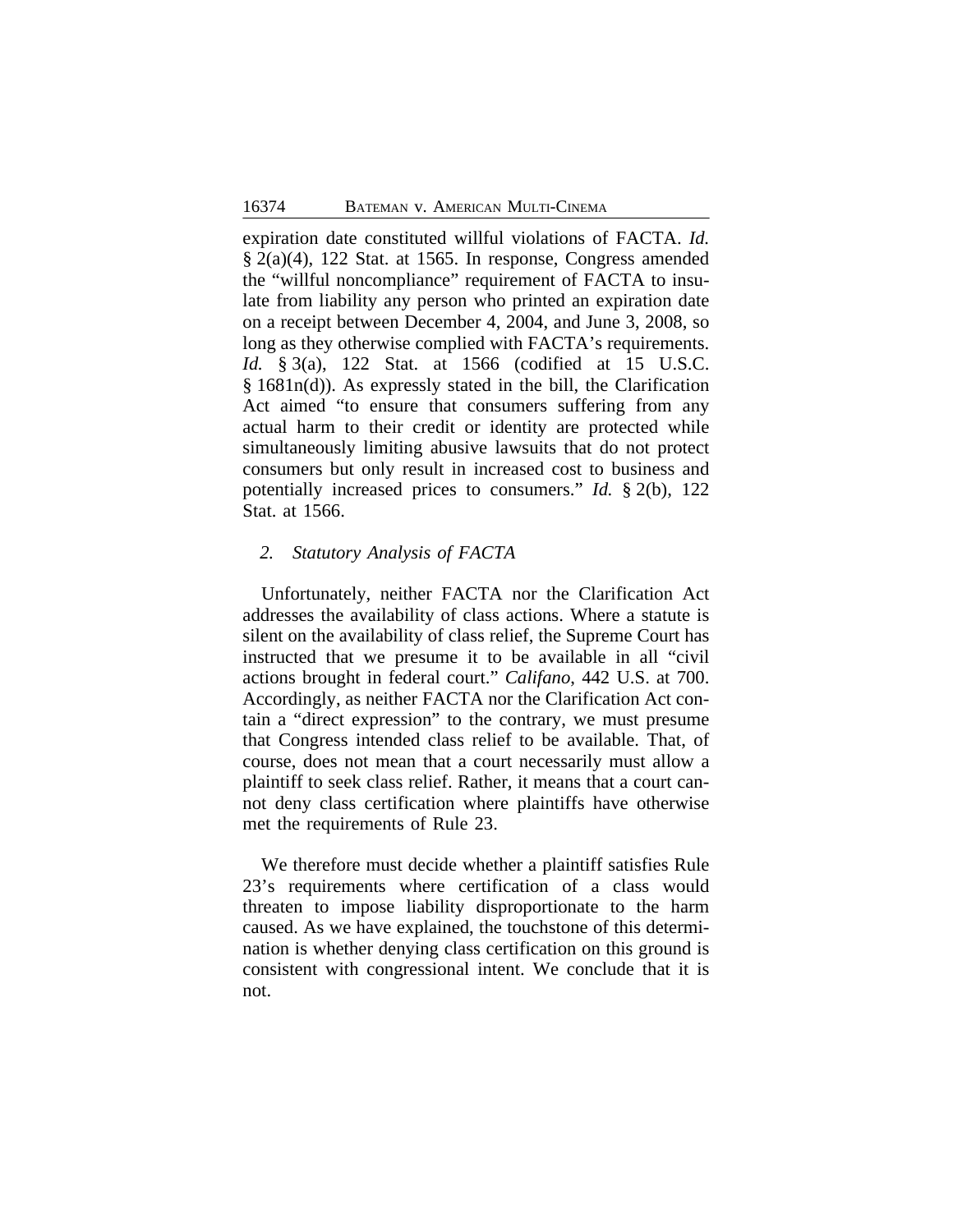expiration date constituted willful violations of FACTA. *Id.* § 2(a)(4), 122 Stat. at 1565. In response, Congress amended the "willful noncompliance" requirement of FACTA to insulate from liability any person who printed an expiration date on a receipt between December 4, 2004, and June 3, 2008, so long as they otherwise complied with FACTA's requirements. *Id.* § 3(a), 122 Stat. at 1566 (codified at 15 U.S.C. § 1681n(d)). As expressly stated in the bill, the Clarification Act aimed "to ensure that consumers suffering from any actual harm to their credit or identity are protected while simultaneously limiting abusive lawsuits that do not protect consumers but only result in increased cost to business and potentially increased prices to consumers." *Id.* § 2(b), 122 Stat. at 1566.

## *2. Statutory Analysis of FACTA*

Unfortunately, neither FACTA nor the Clarification Act addresses the availability of class actions. Where a statute is silent on the availability of class relief, the Supreme Court has instructed that we presume it to be available in all "civil actions brought in federal court." *Califano*, 442 U.S. at 700. Accordingly, as neither FACTA nor the Clarification Act contain a "direct expression" to the contrary, we must presume that Congress intended class relief to be available. That, of course, does not mean that a court necessarily must allow a plaintiff to seek class relief. Rather, it means that a court cannot deny class certification where plaintiffs have otherwise met the requirements of Rule 23.

We therefore must decide whether a plaintiff satisfies Rule 23's requirements where certification of a class would threaten to impose liability disproportionate to the harm caused. As we have explained, the touchstone of this determination is whether denying class certification on this ground is consistent with congressional intent. We conclude that it is not.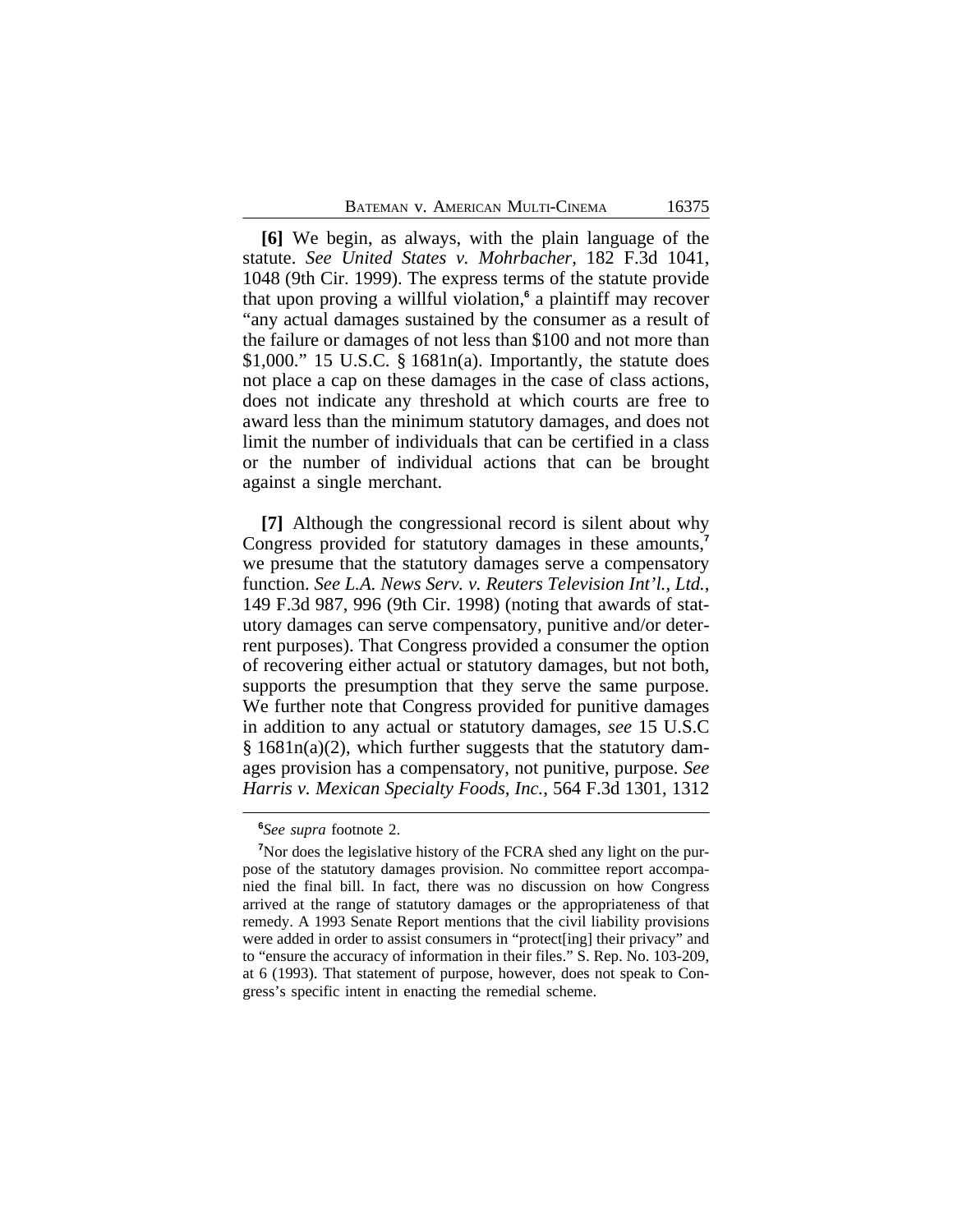**[6]** We begin, as always, with the plain language of the statute. *See United States v. Mohrbacher*, 182 F.3d 1041, 1048 (9th Cir. 1999). The express terms of the statute provide that upon proving a willful violation,**<sup>6</sup>** a plaintiff may recover "any actual damages sustained by the consumer as a result of the failure or damages of not less than \$100 and not more than  $$1,000."$  15 U.S.C.  $$1681n(a)$ . Importantly, the statute does not place a cap on these damages in the case of class actions, does not indicate any threshold at which courts are free to award less than the minimum statutory damages, and does not limit the number of individuals that can be certified in a class or the number of individual actions that can be brought against a single merchant.

**[7]** Although the congressional record is silent about why Congress provided for statutory damages in these amounts,**<sup>7</sup>** we presume that the statutory damages serve a compensatory function. *See L.A. News Serv. v. Reuters Television Int'l., Ltd.*, 149 F.3d 987, 996 (9th Cir. 1998) (noting that awards of statutory damages can serve compensatory, punitive and/or deterrent purposes). That Congress provided a consumer the option of recovering either actual or statutory damages, but not both, supports the presumption that they serve the same purpose. We further note that Congress provided for punitive damages in addition to any actual or statutory damages, *see* 15 U.S.C  $§$  1681n(a)(2), which further suggests that the statutory damages provision has a compensatory, not punitive, purpose. *See Harris v. Mexican Specialty Foods, Inc.*, 564 F.3d 1301, 1312

**<sup>6</sup>** *See supra* footnote 2.

**<sup>7</sup>**Nor does the legislative history of the FCRA shed any light on the purpose of the statutory damages provision. No committee report accompanied the final bill. In fact, there was no discussion on how Congress arrived at the range of statutory damages or the appropriateness of that remedy. A 1993 Senate Report mentions that the civil liability provisions were added in order to assist consumers in "protect[ing] their privacy" and to "ensure the accuracy of information in their files." S. Rep. No. 103-209, at 6 (1993). That statement of purpose, however, does not speak to Congress's specific intent in enacting the remedial scheme.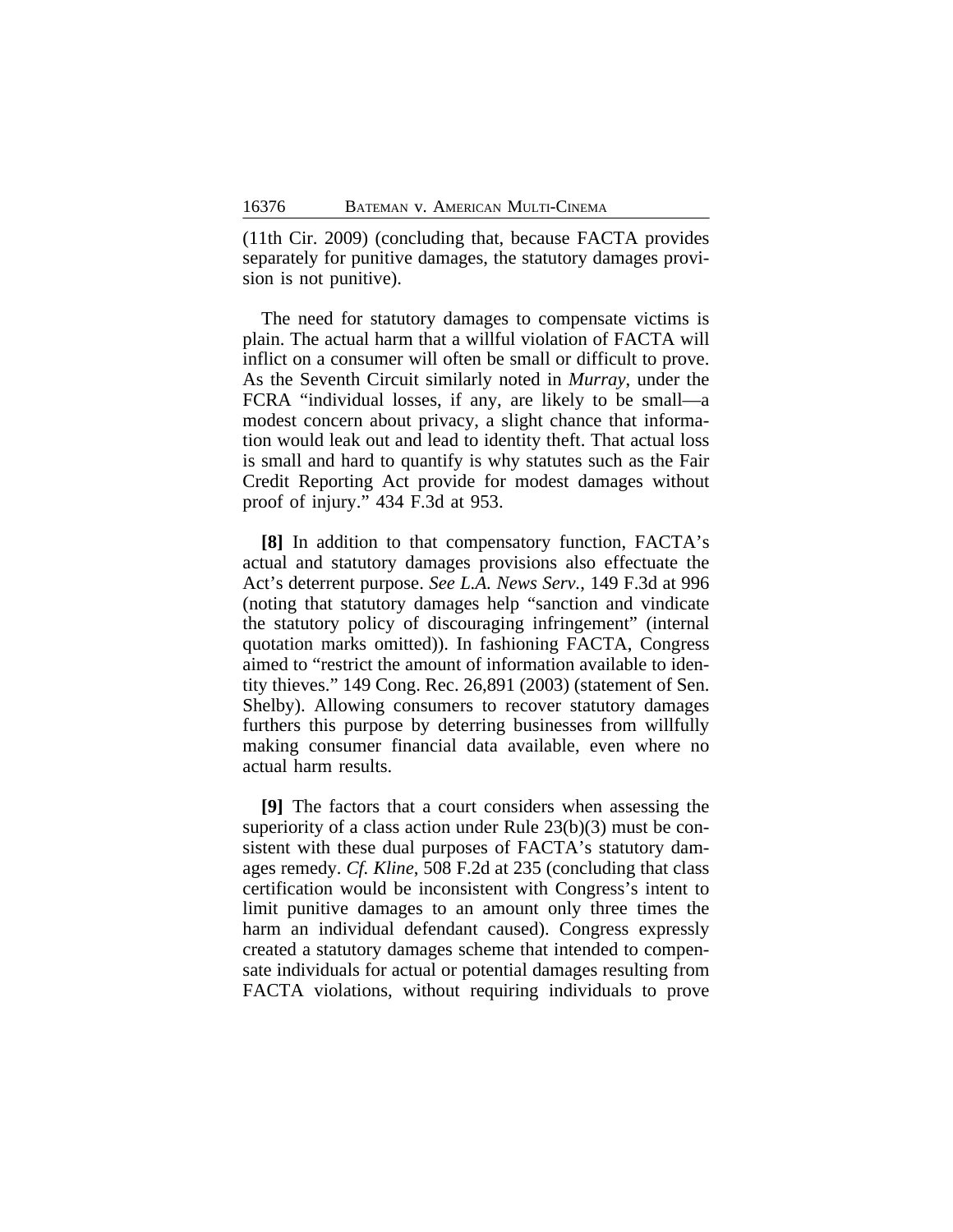(11th Cir. 2009) (concluding that, because FACTA provides separately for punitive damages, the statutory damages provision is not punitive).

The need for statutory damages to compensate victims is plain. The actual harm that a willful violation of FACTA will inflict on a consumer will often be small or difficult to prove. As the Seventh Circuit similarly noted in *Murray*, under the FCRA "individual losses, if any, are likely to be small—a modest concern about privacy, a slight chance that information would leak out and lead to identity theft. That actual loss is small and hard to quantify is why statutes such as the Fair Credit Reporting Act provide for modest damages without proof of injury." 434 F.3d at 953.

**[8]** In addition to that compensatory function, FACTA's actual and statutory damages provisions also effectuate the Act's deterrent purpose. *See L.A. News Serv.*, 149 F.3d at 996 (noting that statutory damages help "sanction and vindicate the statutory policy of discouraging infringement" (internal quotation marks omitted)). In fashioning FACTA, Congress aimed to "restrict the amount of information available to identity thieves." 149 Cong. Rec. 26,891 (2003) (statement of Sen. Shelby). Allowing consumers to recover statutory damages furthers this purpose by deterring businesses from willfully making consumer financial data available, even where no actual harm results.

**[9]** The factors that a court considers when assessing the superiority of a class action under Rule 23(b)(3) must be consistent with these dual purposes of FACTA's statutory damages remedy. *Cf. Kline*, 508 F.2d at 235 (concluding that class certification would be inconsistent with Congress's intent to limit punitive damages to an amount only three times the harm an individual defendant caused). Congress expressly created a statutory damages scheme that intended to compensate individuals for actual or potential damages resulting from FACTA violations, without requiring individuals to prove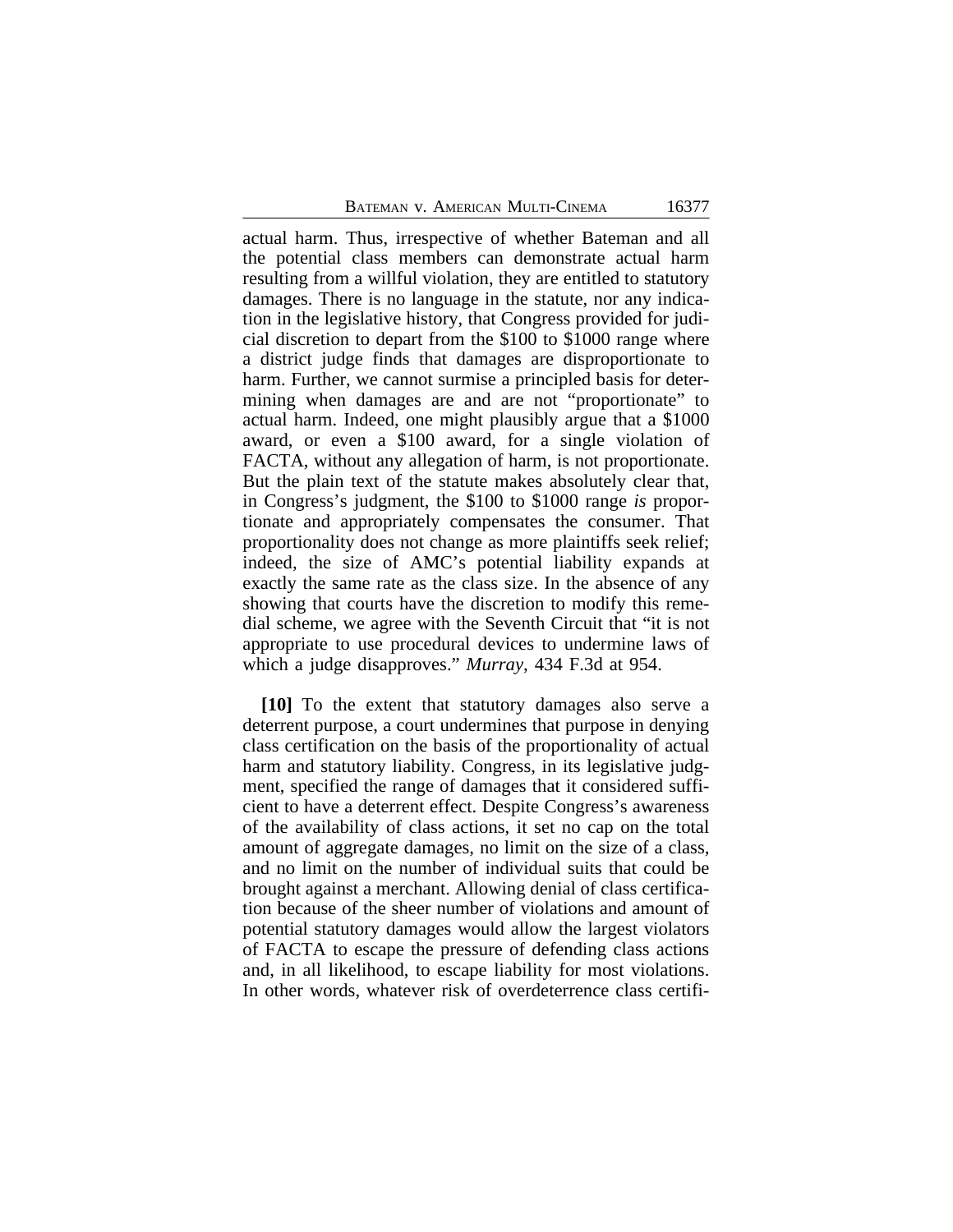actual harm. Thus, irrespective of whether Bateman and all the potential class members can demonstrate actual harm resulting from a willful violation, they are entitled to statutory damages. There is no language in the statute, nor any indication in the legislative history, that Congress provided for judicial discretion to depart from the \$100 to \$1000 range where a district judge finds that damages are disproportionate to harm. Further, we cannot surmise a principled basis for determining when damages are and are not "proportionate" to actual harm. Indeed, one might plausibly argue that a \$1000 award, or even a \$100 award, for a single violation of FACTA, without any allegation of harm, is not proportionate. But the plain text of the statute makes absolutely clear that, in Congress's judgment, the \$100 to \$1000 range *is* proportionate and appropriately compensates the consumer. That proportionality does not change as more plaintiffs seek relief; indeed, the size of AMC's potential liability expands at exactly the same rate as the class size. In the absence of any showing that courts have the discretion to modify this remedial scheme, we agree with the Seventh Circuit that "it is not appropriate to use procedural devices to undermine laws of which a judge disapproves." *Murray*, 434 F.3d at 954.

**[10]** To the extent that statutory damages also serve a deterrent purpose, a court undermines that purpose in denying class certification on the basis of the proportionality of actual harm and statutory liability. Congress, in its legislative judgment, specified the range of damages that it considered sufficient to have a deterrent effect. Despite Congress's awareness of the availability of class actions, it set no cap on the total amount of aggregate damages, no limit on the size of a class, and no limit on the number of individual suits that could be brought against a merchant. Allowing denial of class certification because of the sheer number of violations and amount of potential statutory damages would allow the largest violators of FACTA to escape the pressure of defending class actions and, in all likelihood, to escape liability for most violations. In other words, whatever risk of overdeterrence class certifi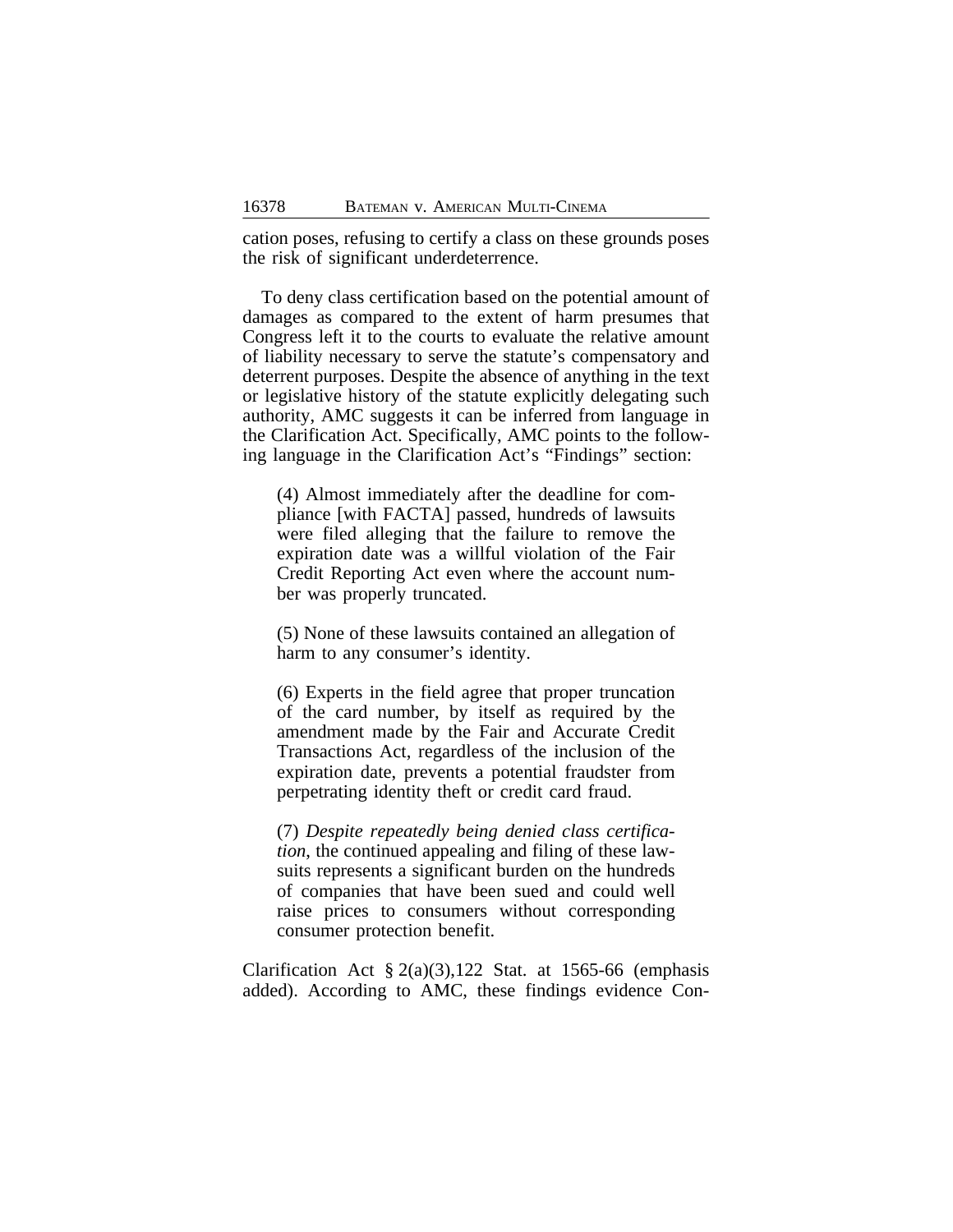cation poses, refusing to certify a class on these grounds poses the risk of significant underdeterrence.

To deny class certification based on the potential amount of damages as compared to the extent of harm presumes that Congress left it to the courts to evaluate the relative amount of liability necessary to serve the statute's compensatory and deterrent purposes. Despite the absence of anything in the text or legislative history of the statute explicitly delegating such authority, AMC suggests it can be inferred from language in the Clarification Act. Specifically, AMC points to the following language in the Clarification Act's "Findings" section:

(4) Almost immediately after the deadline for compliance [with FACTA] passed, hundreds of lawsuits were filed alleging that the failure to remove the expiration date was a willful violation of the Fair Credit Reporting Act even where the account number was properly truncated.

(5) None of these lawsuits contained an allegation of harm to any consumer's identity.

(6) Experts in the field agree that proper truncation of the card number, by itself as required by the amendment made by the Fair and Accurate Credit Transactions Act, regardless of the inclusion of the expiration date, prevents a potential fraudster from perpetrating identity theft or credit card fraud.

(7) *Despite repeatedly being denied class certification*, the continued appealing and filing of these lawsuits represents a significant burden on the hundreds of companies that have been sued and could well raise prices to consumers without corresponding consumer protection benefit.

Clarification Act  $\S 2(a)(3)$ , 122 Stat. at 1565-66 (emphasis added). According to AMC, these findings evidence Con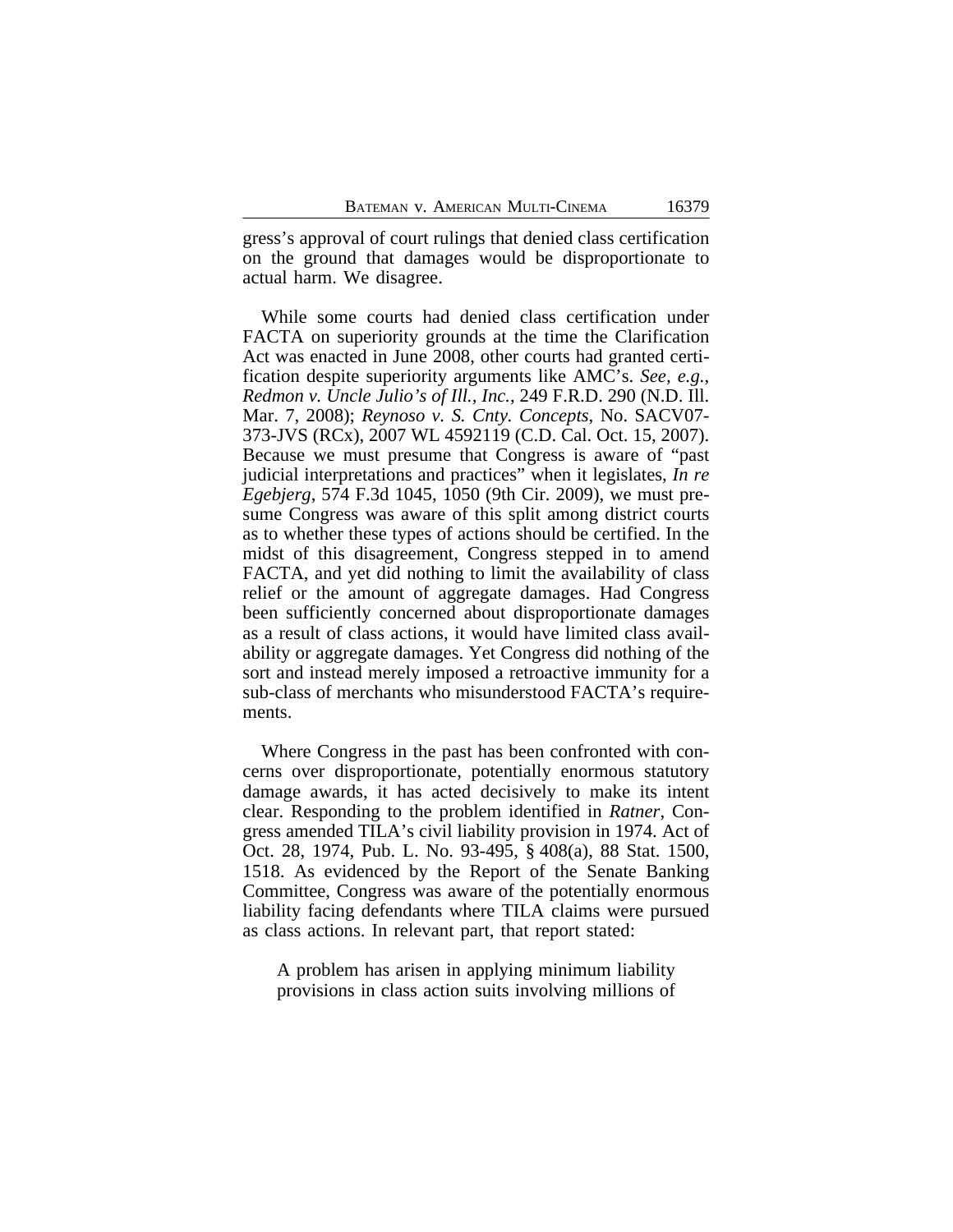gress's approval of court rulings that denied class certification on the ground that damages would be disproportionate to actual harm. We disagree.

While some courts had denied class certification under FACTA on superiority grounds at the time the Clarification Act was enacted in June 2008, other courts had granted certification despite superiority arguments like AMC's. *See, e.g.*, *Redmon v. Uncle Julio's of Ill., Inc.*, 249 F.R.D. 290 (N.D. Ill. Mar. 7, 2008); *Reynoso v. S. Cnty. Concepts*, No. SACV07- 373-JVS (RCx), 2007 WL 4592119 (C.D. Cal. Oct. 15, 2007). Because we must presume that Congress is aware of "past judicial interpretations and practices" when it legislates, *In re Egebjerg*, 574 F.3d 1045, 1050 (9th Cir. 2009), we must presume Congress was aware of this split among district courts as to whether these types of actions should be certified. In the midst of this disagreement, Congress stepped in to amend FACTA, and yet did nothing to limit the availability of class relief or the amount of aggregate damages. Had Congress been sufficiently concerned about disproportionate damages as a result of class actions, it would have limited class availability or aggregate damages. Yet Congress did nothing of the sort and instead merely imposed a retroactive immunity for a sub-class of merchants who misunderstood FACTA's requirements.

Where Congress in the past has been confronted with concerns over disproportionate, potentially enormous statutory damage awards, it has acted decisively to make its intent clear. Responding to the problem identified in *Ratner*, Congress amended TILA's civil liability provision in 1974. Act of Oct. 28, 1974, Pub. L. No. 93-495, § 408(a), 88 Stat. 1500, 1518. As evidenced by the Report of the Senate Banking Committee, Congress was aware of the potentially enormous liability facing defendants where TILA claims were pursued as class actions. In relevant part, that report stated:

A problem has arisen in applying minimum liability provisions in class action suits involving millions of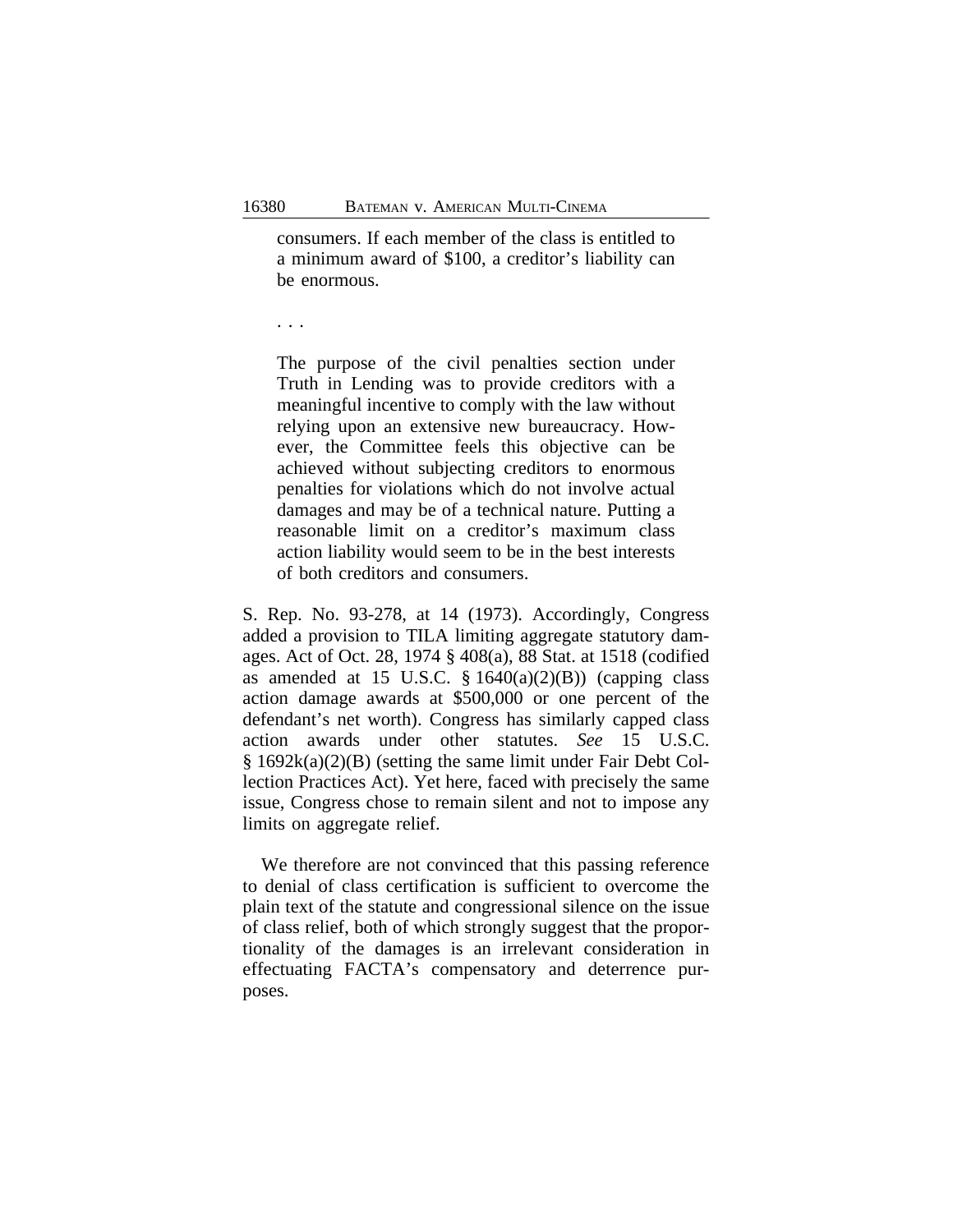consumers. If each member of the class is entitled to a minimum award of \$100, a creditor's liability can be enormous.

. . .

The purpose of the civil penalties section under Truth in Lending was to provide creditors with a meaningful incentive to comply with the law without relying upon an extensive new bureaucracy. However, the Committee feels this objective can be achieved without subjecting creditors to enormous penalties for violations which do not involve actual damages and may be of a technical nature. Putting a reasonable limit on a creditor's maximum class action liability would seem to be in the best interests of both creditors and consumers.

S. Rep. No. 93-278, at 14 (1973). Accordingly, Congress added a provision to TILA limiting aggregate statutory damages. Act of Oct. 28, 1974 § 408(a), 88 Stat. at 1518 (codified as amended at 15 U.S.C.  $\S 1640(a)(2)(B)$  (capping class action damage awards at \$500,000 or one percent of the defendant's net worth). Congress has similarly capped class action awards under other statutes. *See* 15 U.S.C. § 1692k(a)(2)(B) (setting the same limit under Fair Debt Collection Practices Act). Yet here, faced with precisely the same issue, Congress chose to remain silent and not to impose any limits on aggregate relief.

We therefore are not convinced that this passing reference to denial of class certification is sufficient to overcome the plain text of the statute and congressional silence on the issue of class relief, both of which strongly suggest that the proportionality of the damages is an irrelevant consideration in effectuating FACTA's compensatory and deterrence purposes.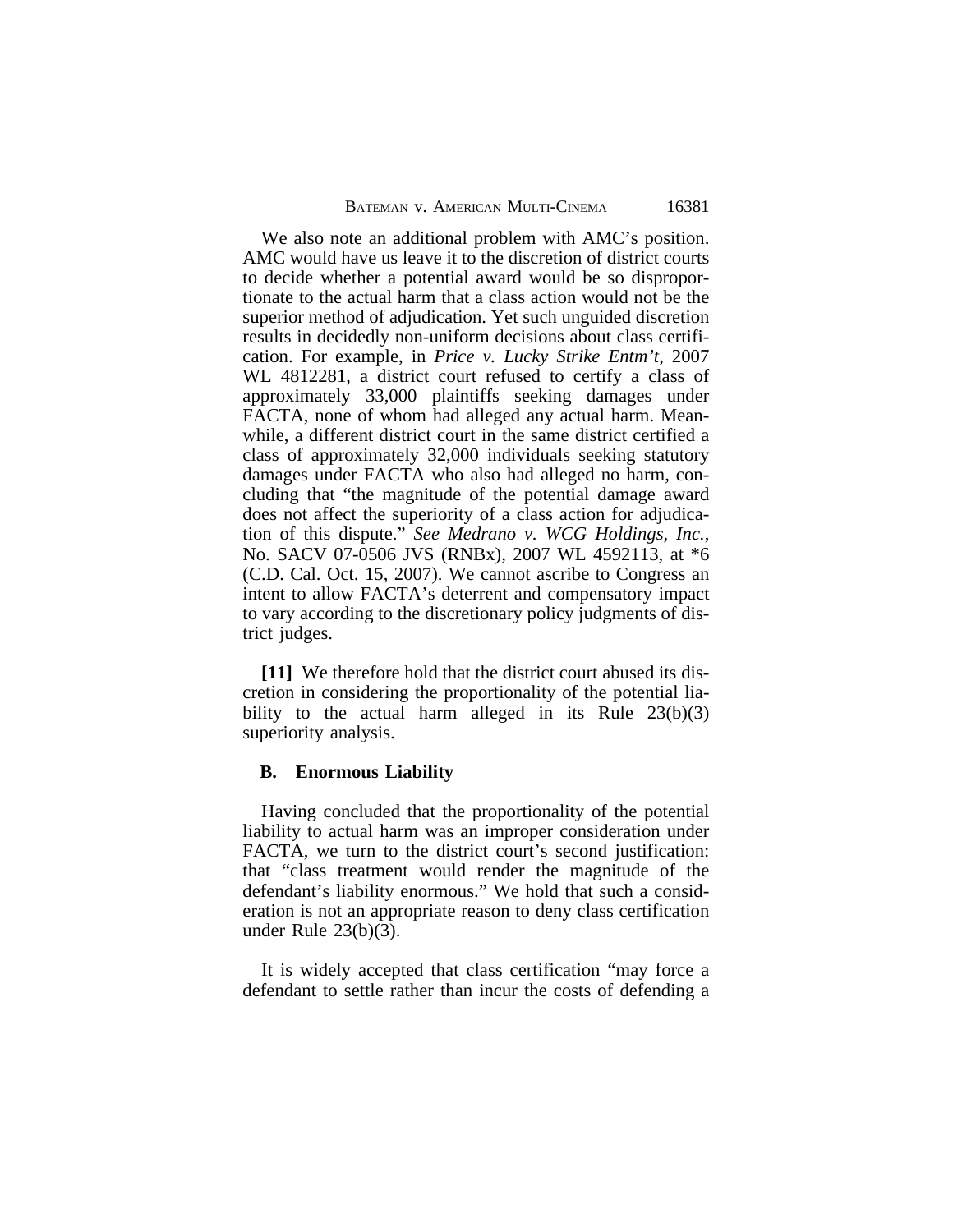We also note an additional problem with AMC's position. AMC would have us leave it to the discretion of district courts to decide whether a potential award would be so disproportionate to the actual harm that a class action would not be the superior method of adjudication. Yet such unguided discretion results in decidedly non-uniform decisions about class certification. For example, in *Price v. Lucky Strike Entm't*, 2007 WL 4812281, a district court refused to certify a class of approximately 33,000 plaintiffs seeking damages under FACTA, none of whom had alleged any actual harm. Meanwhile, a different district court in the same district certified a class of approximately 32,000 individuals seeking statutory damages under FACTA who also had alleged no harm, concluding that "the magnitude of the potential damage award does not affect the superiority of a class action for adjudication of this dispute." *See Medrano v. WCG Holdings, Inc.*, No. SACV 07-0506 JVS (RNBx), 2007 WL 4592113, at \*6 (C.D. Cal. Oct. 15, 2007). We cannot ascribe to Congress an intent to allow FACTA's deterrent and compensatory impact to vary according to the discretionary policy judgments of district judges.

**[11]** We therefore hold that the district court abused its discretion in considering the proportionality of the potential liability to the actual harm alleged in its Rule  $23(b)(3)$ superiority analysis.

#### **B. Enormous Liability**

Having concluded that the proportionality of the potential liability to actual harm was an improper consideration under FACTA, we turn to the district court's second justification: that "class treatment would render the magnitude of the defendant's liability enormous." We hold that such a consideration is not an appropriate reason to deny class certification under Rule 23(b)(3).

It is widely accepted that class certification "may force a defendant to settle rather than incur the costs of defending a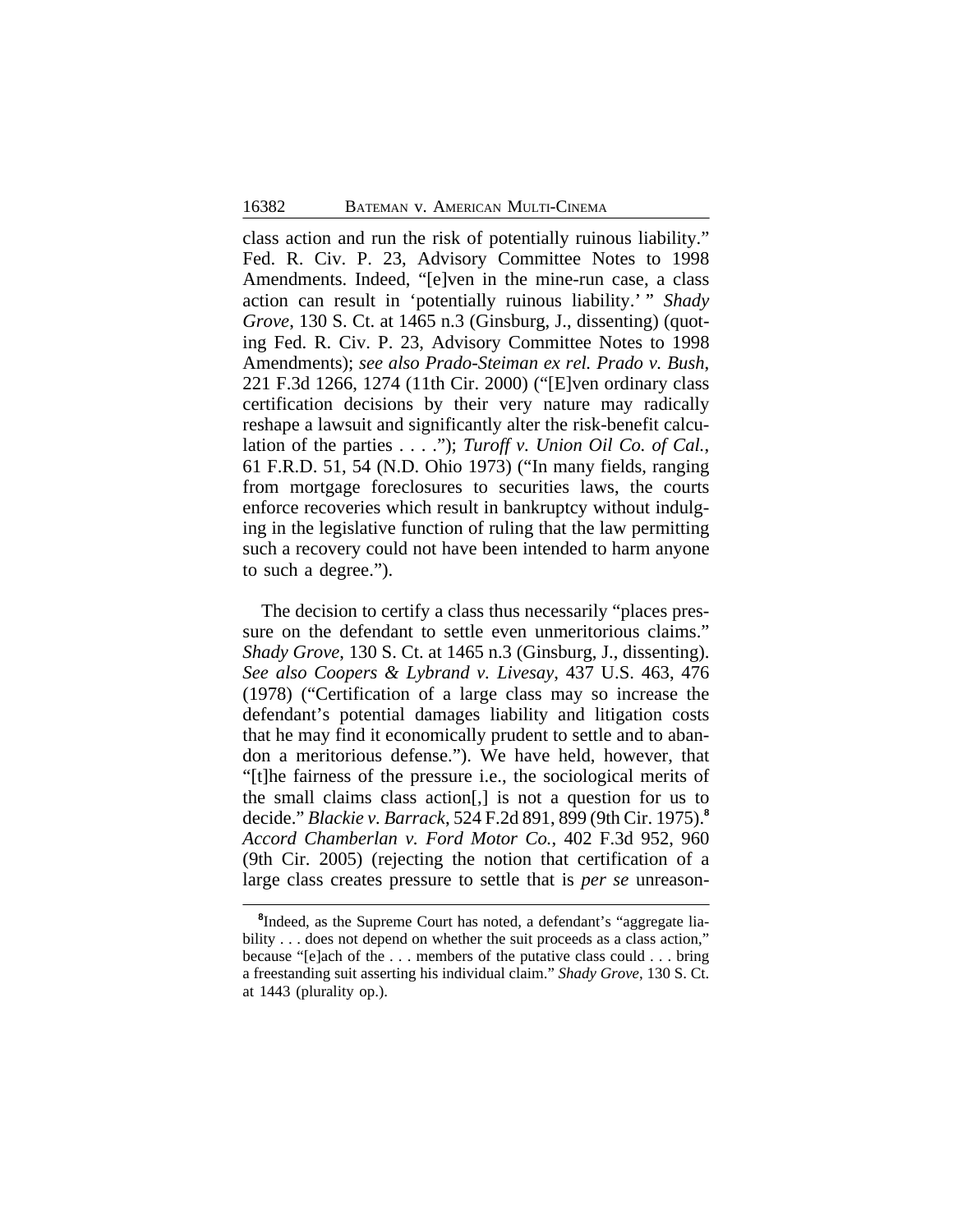class action and run the risk of potentially ruinous liability." Fed. R. Civ. P. 23, Advisory Committee Notes to 1998 Amendments. Indeed, "[e]ven in the mine-run case, a class action can result in 'potentially ruinous liability.' " *Shady Grove*, 130 S. Ct. at 1465 n.3 (Ginsburg, J., dissenting) (quoting Fed. R. Civ. P. 23, Advisory Committee Notes to 1998 Amendments); *see also Prado-Steiman ex rel. Prado v. Bush*, 221 F.3d 1266, 1274 (11th Cir. 2000) ("[E]ven ordinary class certification decisions by their very nature may radically reshape a lawsuit and significantly alter the risk-benefit calculation of the parties . . . ."); *Turoff v. Union Oil Co. of Cal.*, 61 F.R.D. 51, 54 (N.D. Ohio 1973) ("In many fields, ranging from mortgage foreclosures to securities laws, the courts enforce recoveries which result in bankruptcy without indulging in the legislative function of ruling that the law permitting such a recovery could not have been intended to harm anyone to such a degree.").

The decision to certify a class thus necessarily "places pressure on the defendant to settle even unmeritorious claims." *Shady Grove*, 130 S. Ct. at 1465 n.3 (Ginsburg, J., dissenting). *See also Coopers & Lybrand v. Livesay*, 437 U.S. 463, 476 (1978) ("Certification of a large class may so increase the defendant's potential damages liability and litigation costs that he may find it economically prudent to settle and to abandon a meritorious defense."). We have held, however, that "[t]he fairness of the pressure i.e., the sociological merits of the small claims class action[,] is not a question for us to decide." *Blackie v. Barrack*, 524 F.2d 891, 899 (9th Cir. 1975).**<sup>8</sup>** *Accord Chamberlan v. Ford Motor Co.*, 402 F.3d 952, 960 (9th Cir. 2005) (rejecting the notion that certification of a large class creates pressure to settle that is *per se* unreason-

<sup>&</sup>lt;sup>8</sup>Indeed, as the Supreme Court has noted, a defendant's "aggregate liability . . . does not depend on whether the suit proceeds as a class action," because "[e]ach of the . . . members of the putative class could . . . bring a freestanding suit asserting his individual claim." *Shady Grove*, 130 S. Ct. at 1443 (plurality op.).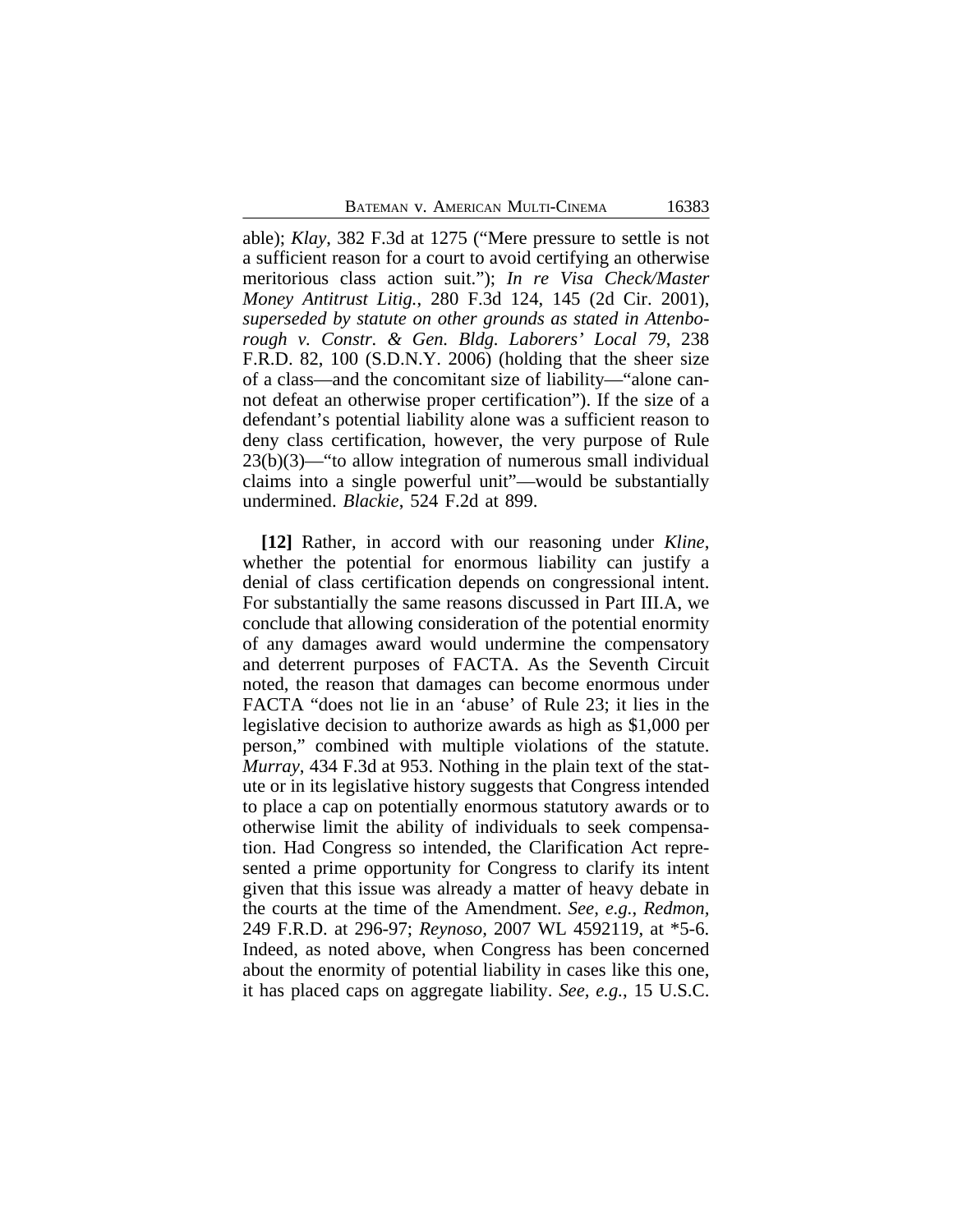able); *Klay*, 382 F.3d at 1275 ("Mere pressure to settle is not a sufficient reason for a court to avoid certifying an otherwise meritorious class action suit."); *In re Visa Check/Master Money Antitrust Litig.*, 280 F.3d 124, 145 (2d Cir. 2001), *superseded by statute on other grounds as stated in Attenborough v. Constr. & Gen. Bldg. Laborers' Local 79*, 238 F.R.D. 82, 100 (S.D.N.Y. 2006) (holding that the sheer size of a class—and the concomitant size of liability—"alone cannot defeat an otherwise proper certification"). If the size of a defendant's potential liability alone was a sufficient reason to deny class certification, however, the very purpose of Rule 23(b)(3)—"to allow integration of numerous small individual claims into a single powerful unit"—would be substantially undermined. *Blackie*, 524 F.2d at 899.

**[12]** Rather, in accord with our reasoning under *Kline*, whether the potential for enormous liability can justify a denial of class certification depends on congressional intent. For substantially the same reasons discussed in Part III.A, we conclude that allowing consideration of the potential enormity of any damages award would undermine the compensatory and deterrent purposes of FACTA. As the Seventh Circuit noted, the reason that damages can become enormous under FACTA "does not lie in an 'abuse' of Rule 23; it lies in the legislative decision to authorize awards as high as \$1,000 per person," combined with multiple violations of the statute. *Murray*, 434 F.3d at 953. Nothing in the plain text of the statute or in its legislative history suggests that Congress intended to place a cap on potentially enormous statutory awards or to otherwise limit the ability of individuals to seek compensation. Had Congress so intended, the Clarification Act represented a prime opportunity for Congress to clarify its intent given that this issue was already a matter of heavy debate in the courts at the time of the Amendment. *See, e.g.*, *Redmon,* 249 F.R.D. at 296-97; *Reynoso,* 2007 WL 4592119, at \*5-6. Indeed, as noted above, when Congress has been concerned about the enormity of potential liability in cases like this one, it has placed caps on aggregate liability. *See, e.g.*, 15 U.S.C.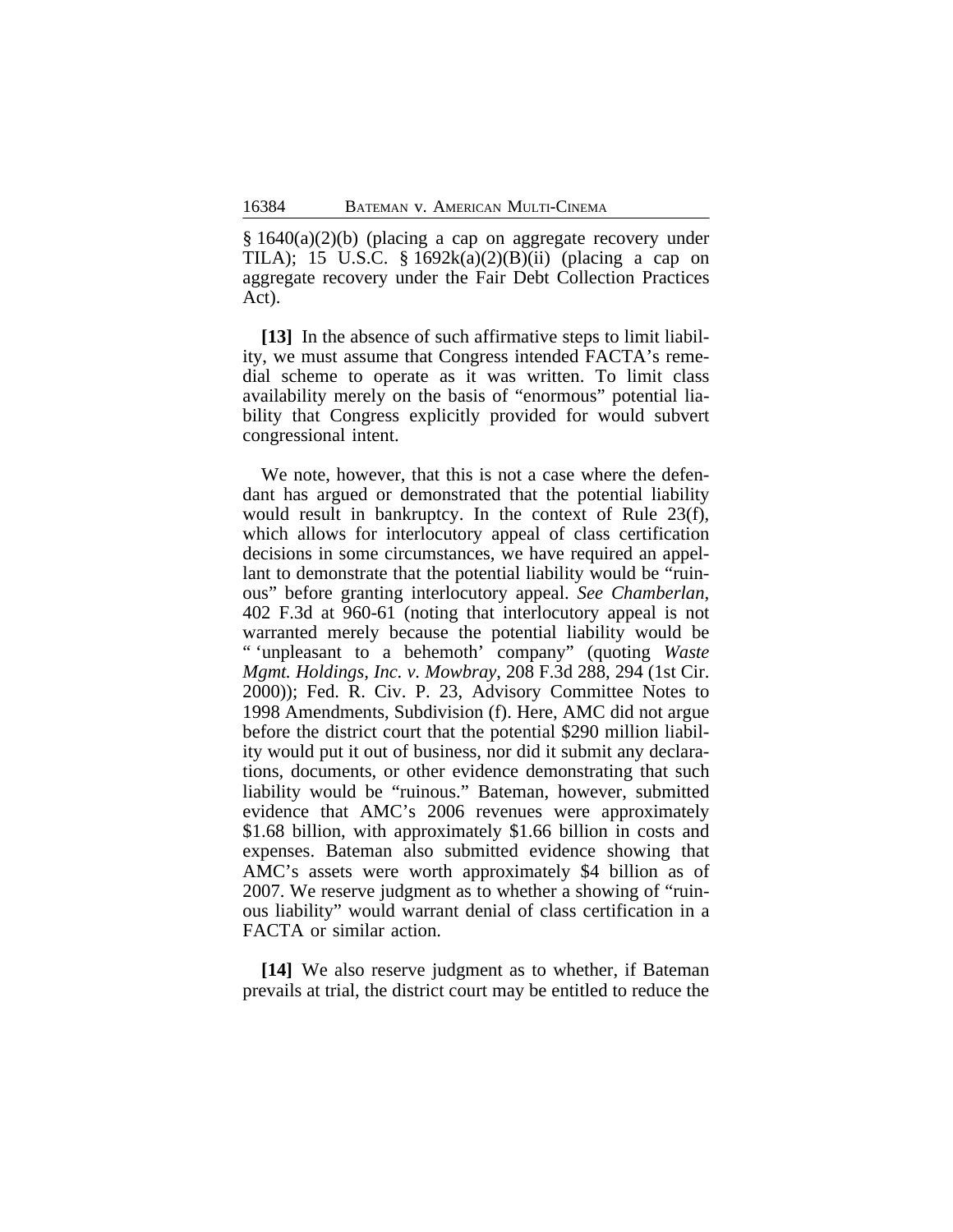§ 1640(a)(2)(b) (placing a cap on aggregate recovery under TILA); 15 U.S.C. § 1692 $k(a)(2)(B)(ii)$  (placing a cap on aggregate recovery under the Fair Debt Collection Practices Act).

**[13]** In the absence of such affirmative steps to limit liability, we must assume that Congress intended FACTA's remedial scheme to operate as it was written. To limit class availability merely on the basis of "enormous" potential liability that Congress explicitly provided for would subvert congressional intent.

We note, however, that this is not a case where the defendant has argued or demonstrated that the potential liability would result in bankruptcy. In the context of Rule 23(f), which allows for interlocutory appeal of class certification decisions in some circumstances, we have required an appellant to demonstrate that the potential liability would be "ruinous" before granting interlocutory appeal. *See Chamberlan*, 402 F.3d at 960-61 (noting that interlocutory appeal is not warranted merely because the potential liability would be " 'unpleasant to a behemoth' company" (quoting *Waste Mgmt. Holdings, Inc. v. Mowbray*, 208 F.3d 288, 294 (1st Cir. 2000)); Fed. R. Civ. P. 23, Advisory Committee Notes to 1998 Amendments, Subdivision (f). Here, AMC did not argue before the district court that the potential \$290 million liability would put it out of business, nor did it submit any declarations, documents, or other evidence demonstrating that such liability would be "ruinous." Bateman, however, submitted evidence that AMC's 2006 revenues were approximately \$1.68 billion, with approximately \$1.66 billion in costs and expenses. Bateman also submitted evidence showing that AMC's assets were worth approximately \$4 billion as of 2007. We reserve judgment as to whether a showing of "ruinous liability" would warrant denial of class certification in a FACTA or similar action.

**[14]** We also reserve judgment as to whether, if Bateman prevails at trial, the district court may be entitled to reduce the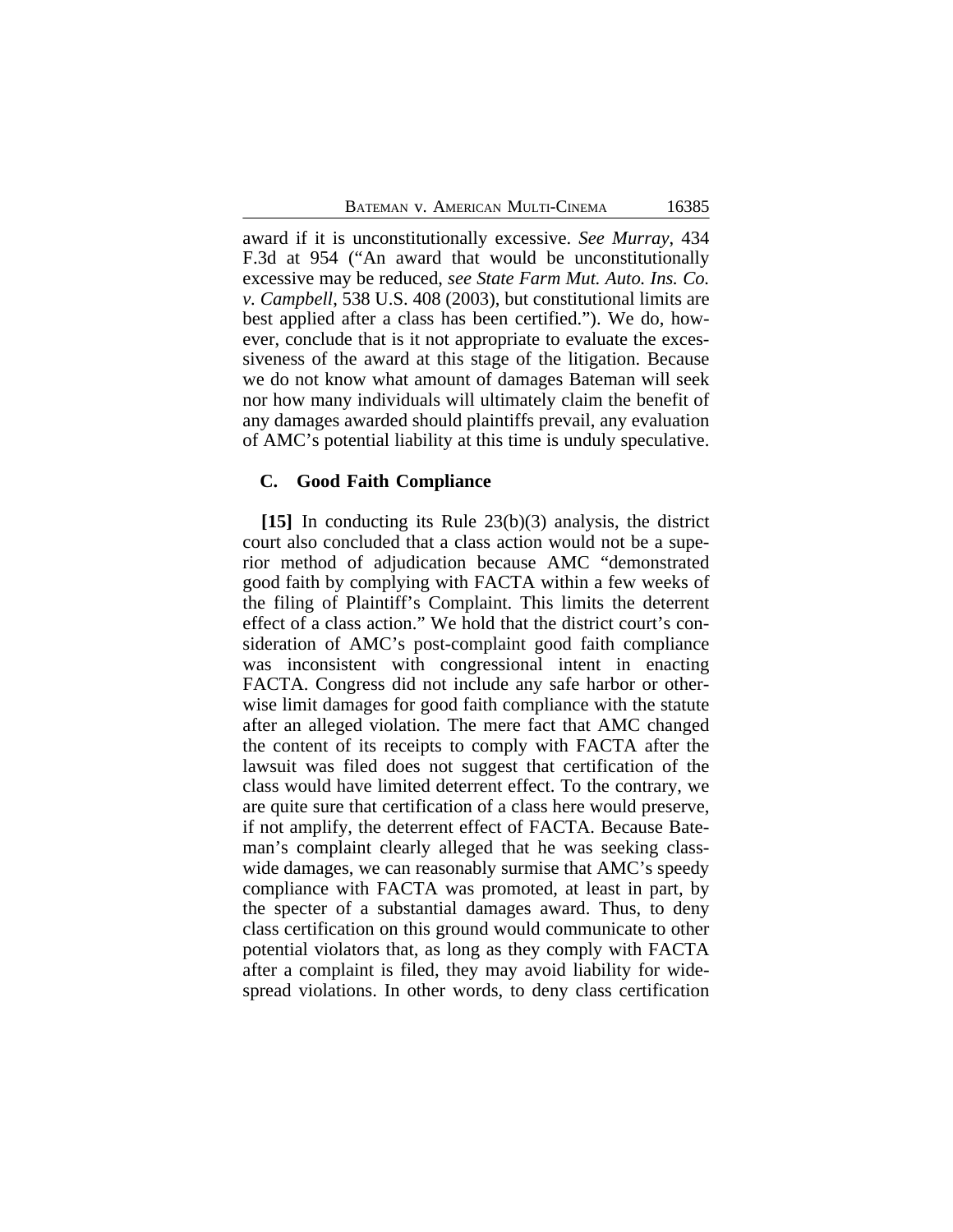award if it is unconstitutionally excessive. *See Murray*, 434 F.3d at 954 ("An award that would be unconstitutionally excessive may be reduced, *see State Farm Mut. Auto. Ins. Co. v. Campbell*, 538 U.S. 408 (2003), but constitutional limits are best applied after a class has been certified."). We do, however, conclude that is it not appropriate to evaluate the excessiveness of the award at this stage of the litigation. Because we do not know what amount of damages Bateman will seek nor how many individuals will ultimately claim the benefit of any damages awarded should plaintiffs prevail, any evaluation of AMC's potential liability at this time is unduly speculative.

#### **C. Good Faith Compliance**

**[15]** In conducting its Rule 23(b)(3) analysis, the district court also concluded that a class action would not be a superior method of adjudication because AMC "demonstrated good faith by complying with FACTA within a few weeks of the filing of Plaintiff's Complaint. This limits the deterrent effect of a class action." We hold that the district court's consideration of AMC's post-complaint good faith compliance was inconsistent with congressional intent in enacting FACTA. Congress did not include any safe harbor or otherwise limit damages for good faith compliance with the statute after an alleged violation. The mere fact that AMC changed the content of its receipts to comply with FACTA after the lawsuit was filed does not suggest that certification of the class would have limited deterrent effect. To the contrary, we are quite sure that certification of a class here would preserve, if not amplify, the deterrent effect of FACTA. Because Bateman's complaint clearly alleged that he was seeking classwide damages, we can reasonably surmise that AMC's speedy compliance with FACTA was promoted, at least in part, by the specter of a substantial damages award. Thus, to deny class certification on this ground would communicate to other potential violators that, as long as they comply with FACTA after a complaint is filed, they may avoid liability for widespread violations. In other words, to deny class certification